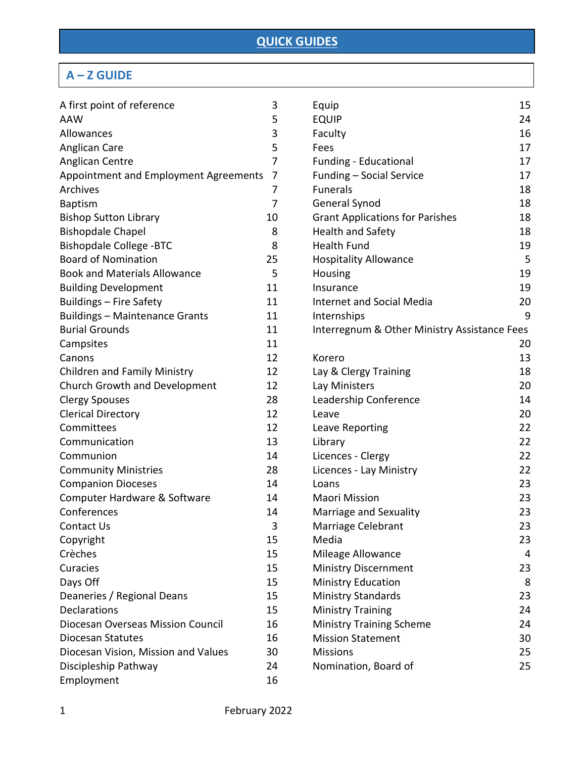# **A – Z GUIDE**

| A first point of reference            | 3  | Equip        |
|---------------------------------------|----|--------------|
| <b>AAW</b>                            | 5  | <b>EQUII</b> |
| Allowances                            | 3  | Facult       |
| Anglican Care                         | 5  | Fees         |
| Anglican Centre                       | 7  | Fundi        |
| Appointment and Employment Agreements | 7  | Fundi        |
| Archives                              | 7  | Funer        |
| <b>Baptism</b>                        | 7  | Gene         |
| <b>Bishop Sutton Library</b>          | 10 | Grant        |
| <b>Bishopdale Chapel</b>              | 8  | Healt        |
| <b>Bishopdale College -BTC</b>        | 8  | Healt        |
| <b>Board of Nomination</b>            | 25 | Hospi        |
| <b>Book and Materials Allowance</b>   | 5  | Housi        |
| <b>Building Development</b>           | 11 | Insura       |
| Buildings - Fire Safety               | 11 | Interr       |
| <b>Buildings - Maintenance Grants</b> | 11 | Interr       |
| <b>Burial Grounds</b>                 | 11 | Interr       |
| Campsites                             | 11 |              |
| Canons                                | 12 | Korer        |
| <b>Children and Family Ministry</b>   | 12 | Lay &        |
| Church Growth and Development         | 12 | Lay M        |
| <b>Clergy Spouses</b>                 | 28 | Leade        |
| <b>Clerical Directory</b>             | 12 | Leave        |
| Committees                            | 12 | Leave        |
| Communication                         | 13 | Librar       |
| Communion                             | 14 | Licen        |
| <b>Community Ministries</b>           | 28 | Licen        |
| <b>Companion Dioceses</b>             | 14 | Loans        |
| Computer Hardware & Software          | 14 | Maor         |
| Conferences                           | 14 | Marri        |
| Contact Us                            | 3  | Marri        |
| Copyright                             | 15 | Media        |
| Crèches                               | 15 | Milea        |
| Curacies                              | 15 | Minis        |
| Days Off                              | 15 | <b>Minis</b> |
| Deaneries / Regional Deans            | 15 | <b>Minis</b> |
| Declarations                          | 15 | Minis        |
| Diocesan Overseas Mission Council     | 16 | Minis        |
| <b>Diocesan Statutes</b>              | 16 | Missi        |
| Diocesan Vision, Mission and Values   | 30 | Missi        |
| Discipleship Pathway                  | 24 | Nomi         |
| Employment                            | 16 |              |

| Equip                                        | 15 |
|----------------------------------------------|----|
| <b>EQUIP</b>                                 | 24 |
| Faculty                                      | 16 |
| Fees                                         | 17 |
| <b>Funding - Educational</b>                 | 17 |
| Funding - Social Service                     | 17 |
| <b>Funerals</b>                              | 18 |
| General Synod                                | 18 |
| <b>Grant Applications for Parishes</b>       | 18 |
| <b>Health and Safety</b>                     | 18 |
| <b>Health Fund</b>                           | 19 |
| <b>Hospitality Allowance</b>                 | 5  |
| Housing                                      | 19 |
| Insurance                                    | 19 |
| <b>Internet and Social Media</b>             | 20 |
| Internships                                  | 9  |
| Interregnum & Other Ministry Assistance Fees |    |
|                                              | 20 |
| Korero                                       | 13 |
| Lay & Clergy Training                        | 18 |
| Lay Ministers                                | 20 |
| Leadership Conference                        | 14 |
| Leave                                        | 20 |
| Leave Reporting                              | 22 |
| Library                                      | 22 |
| Licences - Clergy                            | 22 |
| Licences - Lay Ministry                      | 22 |
| Loans                                        | 23 |
| <b>Maori Mission</b>                         | 23 |
| Marriage and Sexuality                       | 23 |
| Marriage Celebrant                           | 23 |
| Media                                        | 23 |
| Mileage Allowance                            | 4  |
| Ministry Discernment                         | 23 |
| <b>Ministry Education</b>                    | 8  |
| <b>Ministry Standards</b>                    | 23 |
| <b>Ministry Training</b>                     | 24 |
| <b>Ministry Training Scheme</b>              | 24 |
| <b>Mission Statement</b>                     | 30 |
| <b>Missions</b>                              | 25 |
| Nomination, Board of                         | 25 |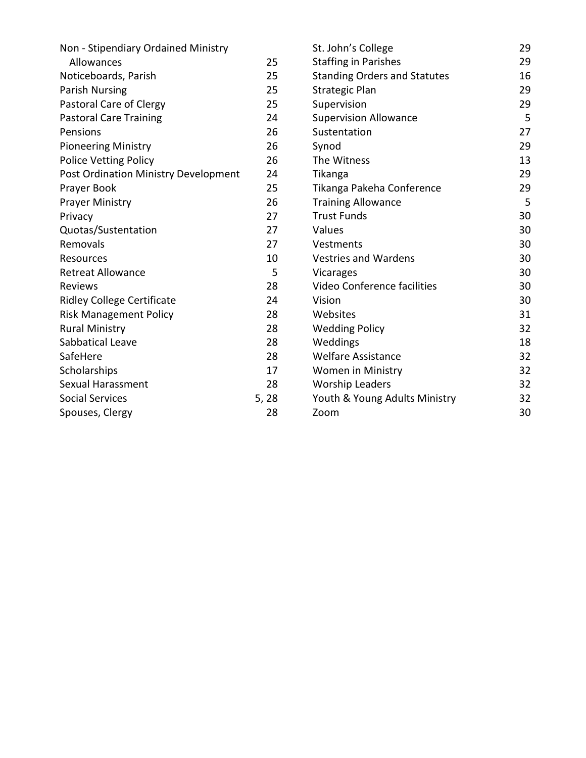|      | St. John's College                  | 29 |
|------|-------------------------------------|----|
| 25   | <b>Staffing in Parishes</b>         | 29 |
| 25   | <b>Standing Orders and Statutes</b> | 16 |
| 25   | <b>Strategic Plan</b>               | 29 |
| 25   | Supervision                         | 29 |
| 24   | <b>Supervision Allowance</b>        | 5  |
| 26   | Sustentation                        | 27 |
| 26   | Synod                               | 29 |
| 26   | The Witness                         | 13 |
| 24   | Tikanga                             | 29 |
| 25   | Tikanga Pakeha Conference           | 29 |
| 26   | <b>Training Allowance</b>           | 5  |
| 27   | <b>Trust Funds</b>                  | 30 |
| 27   | Values                              | 30 |
| 27   | Vestments                           | 30 |
| 10   | <b>Vestries and Wardens</b>         | 30 |
| 5    | Vicarages                           | 30 |
| 28   | Video Conference facilities         | 30 |
| 24   | Vision                              | 30 |
| 28   | Websites                            | 31 |
| 28   | <b>Wedding Policy</b>               | 32 |
| 28   | Weddings                            | 18 |
| 28   | <b>Welfare Assistance</b>           | 32 |
| 17   | <b>Women in Ministry</b>            | 32 |
| 28   | <b>Worship Leaders</b>              | 32 |
| 5,28 | Youth & Young Adults Ministry       | 32 |
| 28   | Zoom                                | 30 |
|      |                                     |    |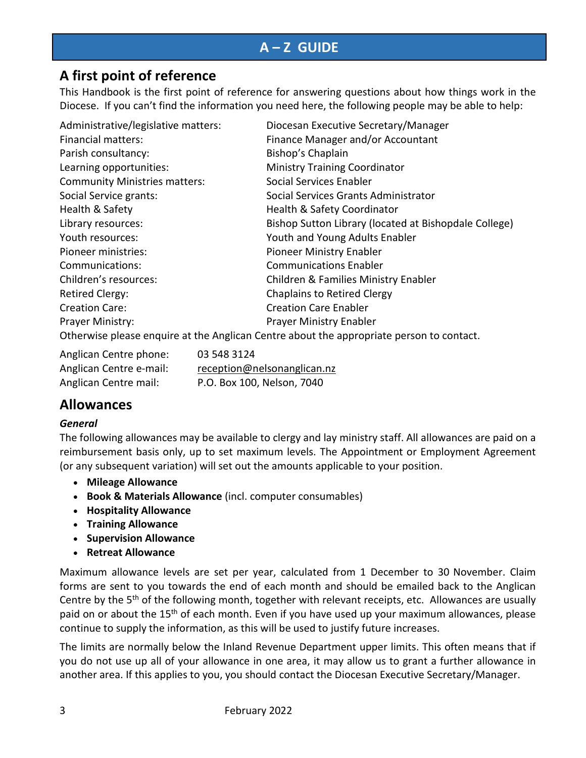# **A – Z GUIDE**

## **A first point of reference**

This Handbook is the first point of reference for answering questions about how things work in the Diocese. If you can't find the information you need here, the following people may be able to help:

| Administrative/legislative matters:  | Diocesan Executive Secretary/Manager                                                     |
|--------------------------------------|------------------------------------------------------------------------------------------|
| <b>Financial matters:</b>            | Finance Manager and/or Accountant                                                        |
| Parish consultancy:                  | Bishop's Chaplain                                                                        |
| Learning opportunities:              | <b>Ministry Training Coordinator</b>                                                     |
| <b>Community Ministries matters:</b> | Social Services Enabler                                                                  |
| Social Service grants:               | Social Services Grants Administrator                                                     |
| Health & Safety                      | <b>Health &amp; Safety Coordinator</b>                                                   |
| Library resources:                   | Bishop Sutton Library (located at Bishopdale College)                                    |
| Youth resources:                     | Youth and Young Adults Enabler                                                           |
| Pioneer ministries:                  | Pioneer Ministry Enabler                                                                 |
| Communications:                      | <b>Communications Enabler</b>                                                            |
| Children's resources:                | Children & Families Ministry Enabler                                                     |
| <b>Retired Clergy:</b>               | <b>Chaplains to Retired Clergy</b>                                                       |
| <b>Creation Care:</b>                | <b>Creation Care Enabler</b>                                                             |
| Prayer Ministry:                     | <b>Prayer Ministry Enabler</b>                                                           |
|                                      | Otherwise please enquire at the Anglican Centre about the appropriate person to contact. |

| Anglican Centre phone:  | 03 548 3124                 |
|-------------------------|-----------------------------|
| Anglican Centre e-mail: | reception@nelsonanglican.nz |
| Anglican Centre mail:   | P.O. Box 100, Nelson, 7040  |

# **Allowances**

#### *General*

The following allowances may be available to clergy and lay ministry staff. All allowances are paid on a reimbursement basis only, up to set maximum levels. The Appointment or Employment Agreement (or any subsequent variation) will set out the amounts applicable to your position.

- **Mileage Allowance**
- **Book & Materials Allowance** (incl. computer consumables)
- **Hospitality Allowance**
- **Training Allowance**
- **Supervision Allowance**
- **Retreat Allowance**

Maximum allowance levels are set per year, calculated from 1 December to 30 November. Claim forms are sent to you towards the end of each month and should be emailed back to the Anglican Centre by the 5<sup>th</sup> of the following month, together with relevant receipts, etc. Allowances are usually paid on or about the 15<sup>th</sup> of each month. Even if you have used up your maximum allowances, please continue to supply the information, as this will be used to justify future increases.

The limits are normally below the Inland Revenue Department upper limits. This often means that if you do not use up all of your allowance in one area, it may allow us to grant a further allowance in another area. If this applies to you, you should contact the Diocesan Executive Secretary/Manager.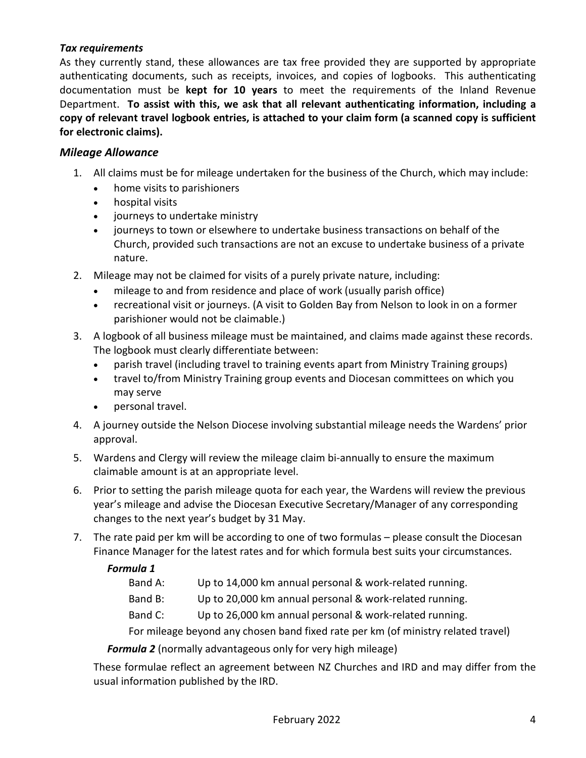#### *Tax requirements*

As they currently stand, these allowances are tax free provided they are supported by appropriate authenticating documents, such as receipts, invoices, and copies of logbooks. This authenticating documentation must be **kept for 10 years** to meet the requirements of the Inland Revenue Department. **To assist with this, we ask that all relevant authenticating information, including a copy of relevant travel logbook entries, is attached to your claim form (a scanned copy is sufficient for electronic claims).**

#### *Mileage Allowance*

- 1. All claims must be for mileage undertaken for the business of the Church, which may include:
	- home visits to parishioners
	- hospital visits
	- journeys to undertake ministry
	- journeys to town or elsewhere to undertake business transactions on behalf of the Church, provided such transactions are not an excuse to undertake business of a private nature.
- 2. Mileage may not be claimed for visits of a purely private nature, including:
	- mileage to and from residence and place of work (usually parish office)
	- recreational visit or journeys. (A visit to Golden Bay from Nelson to look in on a former parishioner would not be claimable.)
- 3. A logbook of all business mileage must be maintained, and claims made against these records. The logbook must clearly differentiate between:
	- parish travel (including travel to training events apart from Ministry Training groups)
	- travel to/from Ministry Training group events and Diocesan committees on which you may serve
	- personal travel.
- 4. A journey outside the Nelson Diocese involving substantial mileage needs the Wardens' prior approval.
- 5. Wardens and Clergy will review the mileage claim bi-annually to ensure the maximum claimable amount is at an appropriate level.
- 6. Prior to setting the parish mileage quota for each year, the Wardens will review the previous year's mileage and advise the Diocesan Executive Secretary/Manager of any corresponding changes to the next year's budget by 31 May.
- 7. The rate paid per km will be according to one of two formulas please consult the Diocesan Finance Manager for the latest rates and for which formula best suits your circumstances.

#### *Formula 1*

Band A: Up to 14,000 km annual personal & work-related running.

Band B: Up to 20,000 km annual personal & work-related running.

Band C: Up to 26,000 km annual personal & work-related running.

For mileage beyond any chosen band fixed rate per km (of ministry related travel)

*Formula 2* (normally advantageous only for very high mileage)

These formulae reflect an agreement between NZ Churches and IRD and may differ from the usual information published by the IRD.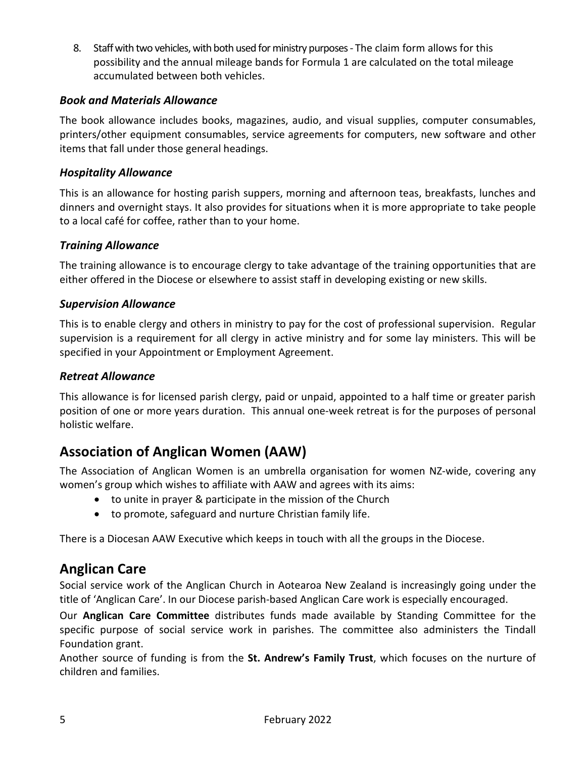8. Staff with two vehicles, with both used for ministry purposes- The claim form allows for this possibility and the annual mileage bands for Formula 1 are calculated on the total mileage accumulated between both vehicles.

#### *Book and Materials Allowance*

The book allowance includes books, magazines, audio, and visual supplies, computer consumables, printers/other equipment consumables, service agreements for computers, new software and other items that fall under those general headings.

#### *Hospitality Allowance*

This is an allowance for hosting parish suppers, morning and afternoon teas, breakfasts, lunches and dinners and overnight stays. It also provides for situations when it is more appropriate to take people to a local café for coffee, rather than to your home.

#### *Training Allowance*

The training allowance is to encourage clergy to take advantage of the training opportunities that are either offered in the Diocese or elsewhere to assist staff in developing existing or new skills.

#### *Supervision Allowance*

This is to enable clergy and others in ministry to pay for the cost of professional supervision. Regular supervision is a requirement for all clergy in active ministry and for some lay ministers. This will be specified in your Appointment or Employment Agreement.

#### *Retreat Allowance*

This allowance is for licensed parish clergy, paid or unpaid, appointed to a half time or greater parish position of one or more years duration. This annual one-week retreat is for the purposes of personal holistic welfare.

## **Association of Anglican Women (AAW)**

The Association of Anglican Women is an umbrella organisation for women NZ-wide, covering any women's group which wishes to affiliate with AAW and agrees with its aims:

- to unite in prayer & participate in the mission of the Church
- to promote, safeguard and nurture Christian family life.

There is a Diocesan AAW Executive which keeps in touch with all the groups in the Diocese.

### **Anglican Care**

Social service work of the Anglican Church in Aotearoa New Zealand is increasingly going under the title of 'Anglican Care'. In our Diocese parish-based Anglican Care work is especially encouraged.

Our **Anglican Care Committee** distributes funds made available by Standing Committee for the specific purpose of social service work in parishes. The committee also administers the Tindall Foundation grant.

Another source of funding is from the **St. Andrew's Family Trust**, which focuses on the nurture of children and families.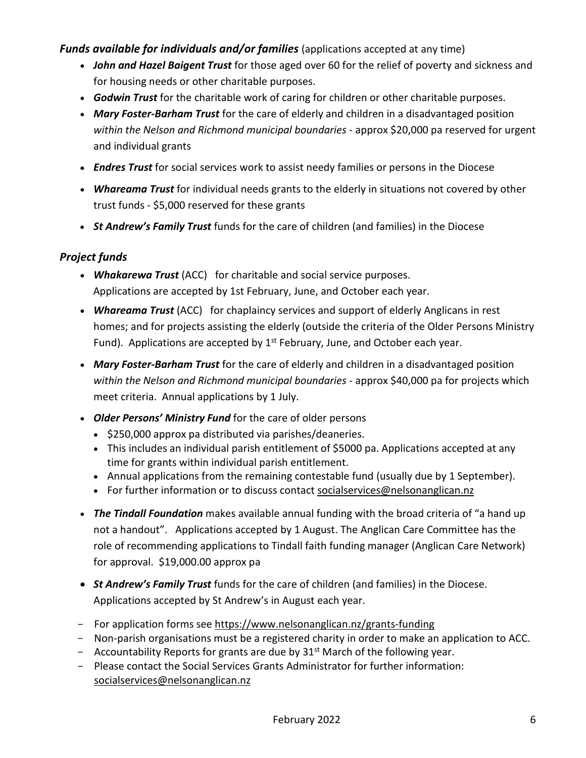#### *Funds available for individuals and/or families* (applications accepted at any time)

- *John and Hazel Baigent Trust* for those aged over 60 for the relief of poverty and sickness and for housing needs or other charitable purposes.
- *Godwin Trust* for the charitable work of caring for children or other charitable purposes.
- *Mary Foster-Barham Trust* for the care of elderly and children in a disadvantaged position *within the Nelson and Richmond municipal boundaries* - approx \$20,000 pa reserved for urgent and individual grants
- *Endres Trust* for social services work to assist needy families or persons in the Diocese
- *Whareama Trust* for individual needs grants to the elderly in situations not covered by other trust funds - \$5,000 reserved for these grants
- *St Andrew's Family Trust* funds for the care of children (and families) in the Diocese

### *Project funds*

- *Whakarewa Trust* (ACC) for charitable and social service purposes. Applications are accepted by 1st February, June, and October each year.
- *Whareama Trust* (ACC) for chaplaincy services and support of elderly Anglicans in rest homes; and for projects assisting the elderly (outside the criteria of the Older Persons Ministry Fund). Applications are accepted by  $1^{st}$  February, June, and October each year.
- *Mary Foster-Barham Trust* for the care of elderly and children in a disadvantaged position *within the Nelson and Richmond municipal boundaries* - approx \$40,000 pa for projects which meet criteria. Annual applications by 1 July.
- *Older Persons' Ministry Fund* for the care of older persons
	- \$250,000 approx pa distributed via parishes/deaneries.
	- This includes an individual parish entitlement of \$5000 pa. Applications accepted at any time for grants within individual parish entitlement.
	- Annual applications from the remaining contestable fund (usually due by 1 September).
	- For further information or to discuss contact [socialservices@nelsonanglican.nz](mailto:socialservices@nelsonanglican.nz)
- *The Tindall Foundation* makes available annual funding with the broad criteria of "a hand up not a handout". Applications accepted by 1 August. The Anglican Care Committee has the role of recommending applications to Tindall faith funding manager (Anglican Care Network) for approval. \$19,000.00 approx pa
- *St Andrew's Family Trust* funds for the care of children (and families) in the Diocese. Applications accepted by St Andrew's in August each year.
- For application forms see https://www.nelsonanglican.nz/grants-funding
- Non-parish organisations must be a registered charity in order to make an application to ACC.
- Accountability Reports for grants are due by  $31<sup>st</sup>$  March of the following year.
- Please contact the Social Services Grants Administrator for further information: [socialservices@nelsonanglican.nz](mailto:socialservices@nelsonanglican.nz)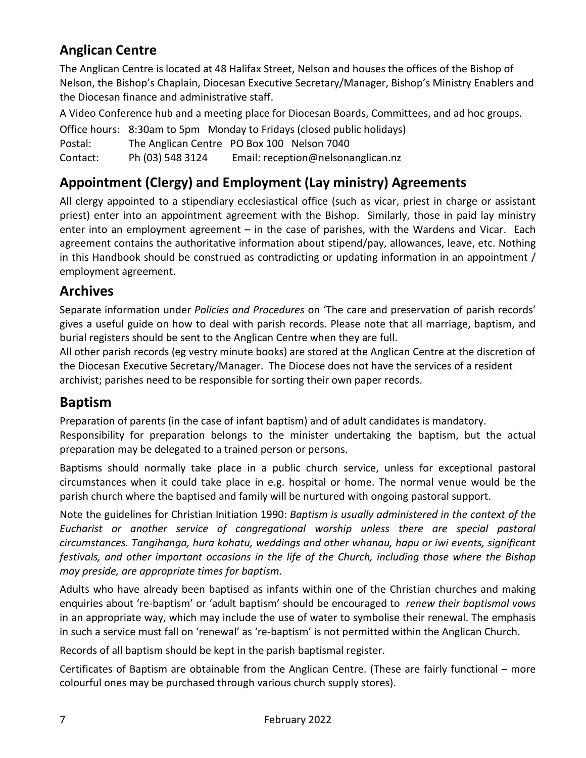# **Anglican Centre**

The Anglican Centre is located at 48 Halifax Street, Nelson and houses the offices of the Bishop of Nelson, the Bishop's Chaplain, Diocesan Executive Secretary/Manager, Bishop's Ministry Enablers and the Diocesan finance and administrative staff.

A Video Conference hub and a meeting place for Diocesan Boards, Committees, and ad hoc groups.

Office hours: 8:30am to 5pm Monday to Fridays (closed public holidays) Postal: The Anglican Centre PO Box 100 Nelson 7040 Contact: Ph (03) 548 3124 Email: [reception@nelsonanglican.nz](mailto:reception@nelsonanglican.nz)

# **Appointment (Clergy) and Employment (Lay ministry) Agreements**

All clergy appointed to a stipendiary ecclesiastical office (such as vicar, priest in charge or assistant priest) enter into an appointment agreement with the Bishop. Similarly, those in paid lay ministry enter into an employment agreement – in the case of parishes, with the Wardens and Vicar. Each agreement contains the authoritative information about stipend/pay, allowances, leave, etc. Nothing in this Handbook should be construed as contradicting or updating information in an appointment / employment agreement.

# **Archives**

Separate information under *Policies and Procedures* on 'The care and preservation of parish records' gives a useful guide on how to deal with parish records. Please note that all marriage, baptism, and burial registers should be sent to the Anglican Centre when they are full.

All other parish records (eg vestry minute books) are stored at the Anglican Centre at the discretion of the Diocesan Executive Secretary/Manager. The Diocese does not have the services of a resident archivist; parishes need to be responsible for sorting their own paper records.

# **Baptism**

Preparation of parents (in the case of infant baptism) and of adult candidates is mandatory. Responsibility for preparation belongs to the minister undertaking the baptism, but the actual preparation may be delegated to a trained person or persons.

Baptisms should normally take place in a public church service, unless for exceptional pastoral circumstances when it could take place in e.g. hospital or home. The normal venue would be the parish church where the baptised and family will be nurtured with ongoing pastoral support.

Note the guidelines for Christian Initiation 1990: *Baptism is usually administered in the context of the Eucharist or another service of congregational worship unless there are special pastoral circumstances. Tangihanga, hura kohatu, weddings and other whanau, hapu or iwi events, significant festivals, and other important occasions in the life of the Church, including those where the Bishop may preside, are appropriate times for baptism.*

Adults who have already been baptised as infants within one of the Christian churches and making enquiries about 're-baptism' or 'adult baptism' should be encouraged to *renew their baptismal vows* in an appropriate way, which may include the use of water to symbolise their renewal. The emphasis in such a service must fall on 'renewal' as 're-baptism' is not permitted within the Anglican Church.

Records of all baptism should be kept in the parish baptismal register.

Certificates of Baptism are obtainable from the Anglican Centre. (These are fairly functional – more colourful ones may be purchased through various church supply stores).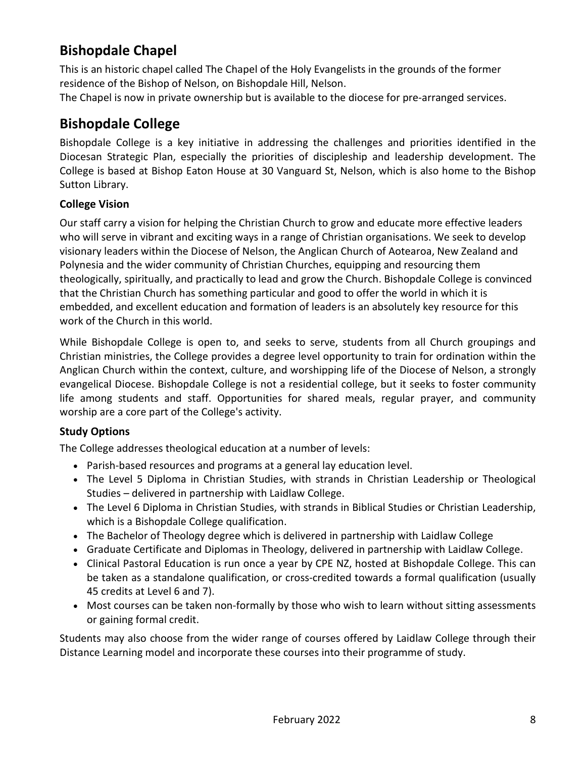# **Bishopdale Chapel**

This is an historic chapel called The Chapel of the Holy Evangelists in the grounds of the former residence of the Bishop of Nelson, on Bishopdale Hill, Nelson.

The Chapel is now in private ownership but is available to the diocese for pre-arranged services.

# **Bishopdale College**

Bishopdale College is a key initiative in addressing the challenges and priorities identified in the Diocesan Strategic Plan, especially the priorities of discipleship and leadership development. The College is based at Bishop Eaton House at 30 Vanguard St, Nelson, which is also home to the Bishop Sutton Library.

### **College Vision**

Our staff carry a vision for helping the Christian Church to grow and educate more effective leaders who will serve in vibrant and exciting ways in a range of Christian organisations. We seek to develop visionary leaders within the Diocese of Nelson, the Anglican Church of Aotearoa, New Zealand and Polynesia and the wider community of Christian Churches, equipping and resourcing them theologically, spiritually, and practically to lead and grow the Church. Bishopdale College is convinced that the Christian Church has something particular and good to offer the world in which it is embedded, and excellent education and formation of leaders is an absolutely key resource for this work of the Church in this world.

While Bishopdale College is open to, and seeks to serve, students from all Church groupings and Christian ministries, the College provides a degree level opportunity to train for ordination within the Anglican Church within the context, culture, and worshipping life of the Diocese of Nelson, a strongly evangelical Diocese. Bishopdale College is not a residential college, but it seeks to foster community life among students and staff. Opportunities for shared meals, regular prayer, and community worship are a core part of the College's activity.

### **Study Options**

The College addresses theological education at a number of levels:

- Parish-based resources and programs at a general lay education level.
- The Level 5 Diploma in Christian Studies, with strands in Christian Leadership or Theological Studies – delivered in partnership with Laidlaw College.
- The Level 6 Diploma in Christian Studies, with strands in Biblical Studies or Christian Leadership, which is a Bishopdale College qualification.
- The Bachelor of Theology degree which is delivered in partnership with Laidlaw College
- Graduate Certificate and Diplomas in Theology, delivered in partnership with Laidlaw College.
- Clinical Pastoral Education is run once a year by CPE NZ, hosted at Bishopdale College. This can be taken as a standalone qualification, or cross-credited towards a formal qualification (usually 45 credits at Level 6 and 7).
- Most courses can be taken non-formally by those who wish to learn without sitting assessments or gaining formal credit.

Students may also choose from the wider range of courses offered by Laidlaw College through their Distance Learning model and incorporate these courses into their programme of study.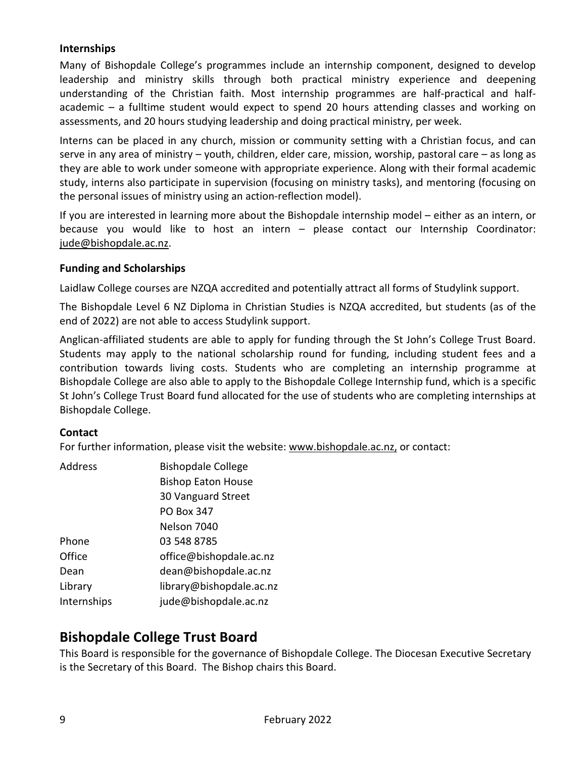#### **Internships**

Many of Bishopdale College's programmes include an internship component, designed to develop leadership and ministry skills through both practical ministry experience and deepening understanding of the Christian faith. Most internship programmes are half-practical and halfacademic – a fulltime student would expect to spend 20 hours attending classes and working on assessments, and 20 hours studying leadership and doing practical ministry, per week.

Interns can be placed in any church, mission or community setting with a Christian focus, and can serve in any area of ministry – youth, children, elder care, mission, worship, pastoral care – as long as they are able to work under someone with appropriate experience. Along with their formal academic study, interns also participate in supervision (focusing on ministry tasks), and mentoring (focusing on the personal issues of ministry using an action-reflection model).

If you are interested in learning more about the Bishopdale internship model – either as an intern, or because you would like to host an intern – please contact our Internship Coordinator: [jude@bishopdale.ac.nz.](mailto:jude@bishopdale.ac.nz)

#### **Funding and Scholarships**

Laidlaw College courses are NZQA accredited and potentially attract all forms of Studylink support.

The Bishopdale Level 6 NZ Diploma in Christian Studies is NZQA accredited, but students (as of the end of 2022) are not able to access Studylink support.

Anglican-affiliated students are able to apply for funding through the St John's College Trust Board. Students may apply to the national scholarship round for funding, including student fees and a contribution towards living costs. Students who are completing an internship programme at Bishopdale College are also able to apply to the Bishopdale College Internship fund, which is a specific St John's College Trust Board fund allocated for the use of students who are completing internships at Bishopdale College.

#### **Contact**

For further information, please visit the website: [www.bishopdale.ac.nz,](http://www.bishopdale.ac.nz/) or contact:

| <b>Address</b> | <b>Bishopdale College</b> |
|----------------|---------------------------|
|                | <b>Bishop Eaton House</b> |
|                | 30 Vanguard Street        |
|                | <b>PO Box 347</b>         |
|                | Nelson 7040               |
| Phone          | 03 548 8785               |
| Office         | office@bishopdale.ac.nz   |
| Dean           | dean@bishopdale.ac.nz     |
| Library        | library@bishopdale.ac.nz  |
| Internships    | jude@bishopdale.ac.nz     |
|                |                           |

## **Bishopdale College Trust Board**

This Board is responsible for the governance of Bishopdale College. The Diocesan Executive Secretary is the Secretary of this Board. The Bishop chairs this Board.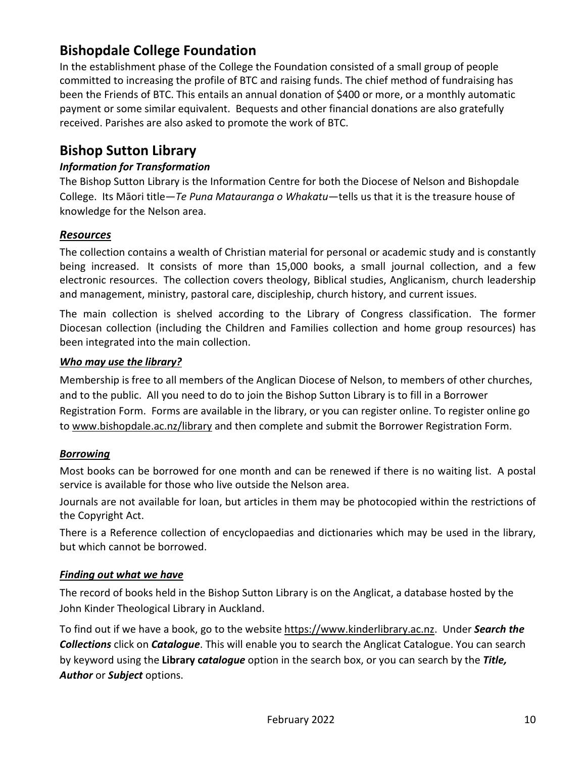# **Bishopdale College Foundation**

In the establishment phase of the College the Foundation consisted of a small group of people committed to increasing the profile of BTC and raising funds. The chief method of fundraising has been the Friends of BTC. This entails an annual donation of \$400 or more, or a monthly automatic payment or some similar equivalent. Bequests and other financial donations are also gratefully received. Parishes are also asked to promote the work of BTC.

## **Bishop Sutton Library**

#### *Information for Transformation*

The Bishop Sutton Library is the Information Centre for both the Diocese of Nelson and Bishopdale College. Its Māori title—*Te Puna Matauranga o Whakatu*—tells us that it is the treasure house of knowledge for the Nelson area.

#### *Resources*

The collection contains a wealth of Christian material for personal or academic study and is constantly being increased. It consists of more than 15,000 books, a small journal collection, and a few electronic resources. The collection covers theology, Biblical studies, Anglicanism, church leadership and management, ministry, pastoral care, discipleship, church history, and current issues.

The main collection is shelved according to the Library of Congress classification. The former Diocesan collection (including the Children and Families collection and home group resources) has been integrated into the main collection.

#### *Who may use the library?*

Membership is free to all members of the Anglican Diocese of Nelson, to members of other churches, and to the public. All you need to do to join the Bishop Sutton Library is to fill in a Borrower Registration Form. Forms are available in the library, or you can register online. To register online go to [www.bishopdale.ac.nz/library](http://www.bishopdale.ac.nz/library) and then complete and submit the Borrower Registration Form.

#### *Borrowing*

Most books can be borrowed for one month and can be renewed if there is no waiting list. A postal service is available for those who live outside the Nelson area.

Journals are not available for loan, but articles in them may be photocopied within the restrictions of the Copyright Act.

There is a Reference collection of encyclopaedias and dictionaries which may be used in the library, but which cannot be borrowed.

#### *Finding out what we have*

The record of books held in the Bishop Sutton Library is on the Anglicat, a database hosted by the John Kinder Theological Library in Auckland.

To find out if we have a book, go to the website [https://www.kinderlibrary.ac.nz.](https://www.kinderlibrary.ac.nz/) Under *Search the Collections* click on *Catalogue*. This will enable you to search the Anglicat Catalogue. You can search by keyword using the **Library c***atalogue* option in the search box, or you can search by the *Title, Author* or *Subject* options.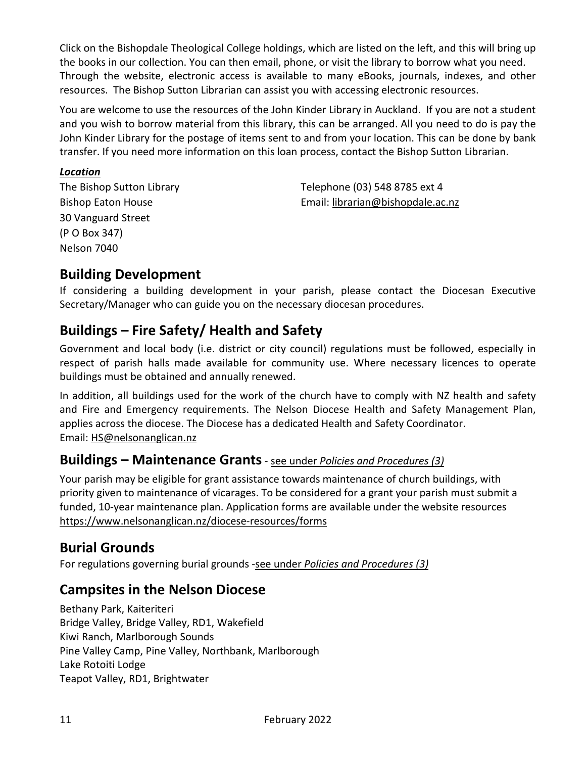Click on the Bishopdale Theological College holdings, which are listed on the left, and this will bring up the books in our collection. You can then email, phone, or visit the library to borrow what you need. Through the website, electronic access is available to many eBooks, journals, indexes, and other resources. The Bishop Sutton Librarian can assist you with accessing electronic resources.

You are welcome to use the resources of the John Kinder Library in Auckland. If you are not a student and you wish to borrow material from this library, this can be arranged. All you need to do is pay the John Kinder Library for the postage of items sent to and from your location. This can be done by bank transfer. If you need more information on this loan process, contact the Bishop Sutton Librarian.

#### *Location*

30 Vanguard Street (P O Box 347) Nelson 7040

The Bishop Sutton Library Telephone (03) 548 8785 ext 4 Bishop Eaton House Email: [librarian@bishopdale.ac.nz](mailto:librarian@bishopdale.ac.nz)

# **Building Development**

If considering a building development in your parish, please contact the Diocesan Executive Secretary/Manager who can guide you on the necessary diocesan procedures.

# **Buildings – Fire Safety/ Health and Safety**

Government and local body (i.e. district or city council) regulations must be followed, especially in respect of parish halls made available for community use. Where necessary licences to operate buildings must be obtained and annually renewed.

In addition, all buildings used for the work of the church have to comply with NZ health and safety and Fire and Emergency requirements. The Nelson Diocese Health and Safety Management Plan, applies across the diocese. The Diocese has a dedicated Health and Safety Coordinator. Email: [HS@nelsonanglican.nz](mailto:HS@nelsonanglican.nz)

## **Buildings – Maintenance Grants**- see under *Policies and Procedures (3)*

Your parish may be eligible for grant assistance towards maintenance of church buildings, with priority given to maintenance of vicarages. To be considered for a grant your parish must submit a funded, 10-year maintenance plan. Application forms are available under the website resources <https://www.nelsonanglican.nz/diocese-resources/forms>

## **Burial Grounds**

For regulations governing burial grounds -see under *Policies and Procedures (3)*

## **Campsites in the Nelson Diocese**

Bethany Park, Kaiteriteri Bridge Valley, Bridge Valley, RD1, Wakefield Kiwi Ranch, Marlborough Sounds Pine Valley Camp, Pine Valley, Northbank, Marlborough Lake Rotoiti Lodge Teapot Valley, RD1, Brightwater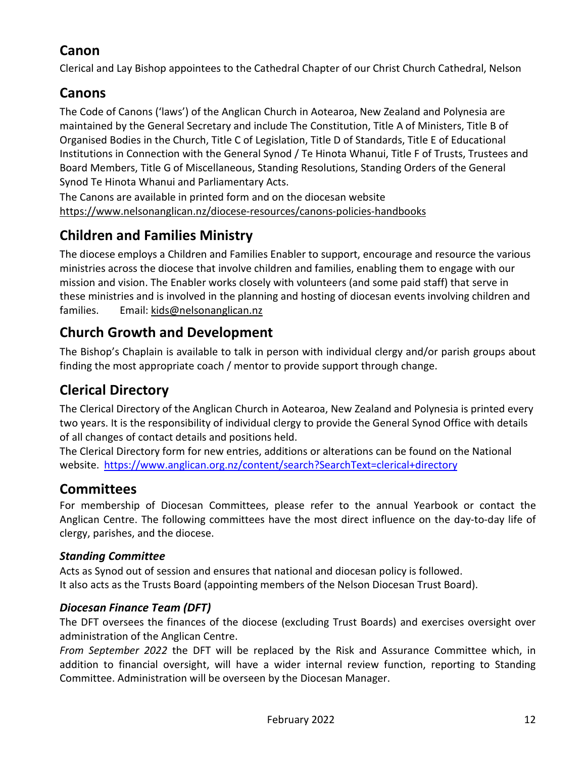# **Canon**

Clerical and Lay Bishop appointees to the Cathedral Chapter of our Christ Church Cathedral, Nelson

# **Canons**

The Code of Canons ('laws') of the Anglican Church in Aotearoa, New Zealand and Polynesia are maintained by the General Secretary and include The Constitution, Title A of Ministers, Title B of Organised Bodies in the Church, Title C of Legislation, Title D of Standards, Title E of Educational Institutions in Connection with the General Synod / Te Hinota Whanui, Title F of Trusts, Trustees and Board Members, Title G of Miscellaneous, Standing Resolutions, Standing Orders of the General Synod Te Hinota Whanui and Parliamentary Acts.

The Canons are available in printed form and on the diocesan website <https://www.nelsonanglican.nz/diocese-resources/canons-policies-handbooks>

# **Children and Families Ministry**

The diocese employs a Children and Families Enabler to support, encourage and resource the various ministries across the diocese that involve children and families, enabling them to engage with our mission and vision. The Enabler works closely with volunteers (and some paid staff) that serve in these ministries and is involved in the planning and hosting of diocesan events involving children and families. Email: kids@nelsonanglican.nz

# **Church Growth and Development**

The Bishop's Chaplain is available to talk in person with individual clergy and/or parish groups about finding the most appropriate coach / mentor to provide support through change.

# **Clerical Directory**

The Clerical Directory of the Anglican Church in Aotearoa, New Zealand and Polynesia is printed every two years. It is the responsibility of individual clergy to provide the General Synod Office with details of all changes of contact details and positions held.

The Clerical Directory form for new entries, additions or alterations can be found on the National website. <https://www.anglican.org.nz/content/search?SearchText=clerical+directory>

# **Committees**

For membership of Diocesan Committees, please refer to the annual Yearbook or contact the Anglican Centre. The following committees have the most direct influence on the day-to-day life of clergy, parishes, and the diocese.

### *Standing Committee*

Acts as Synod out of session and ensures that national and diocesan policy is followed. It also acts as the Trusts Board (appointing members of the Nelson Diocesan Trust Board).

### *Diocesan Finance Team (DFT)*

The DFT oversees the finances of the diocese (excluding Trust Boards) and exercises oversight over administration of the Anglican Centre.

*From September 2022* the DFT will be replaced by the Risk and Assurance Committee which, in addition to financial oversight, will have a wider internal review function, reporting to Standing Committee. Administration will be overseen by the Diocesan Manager.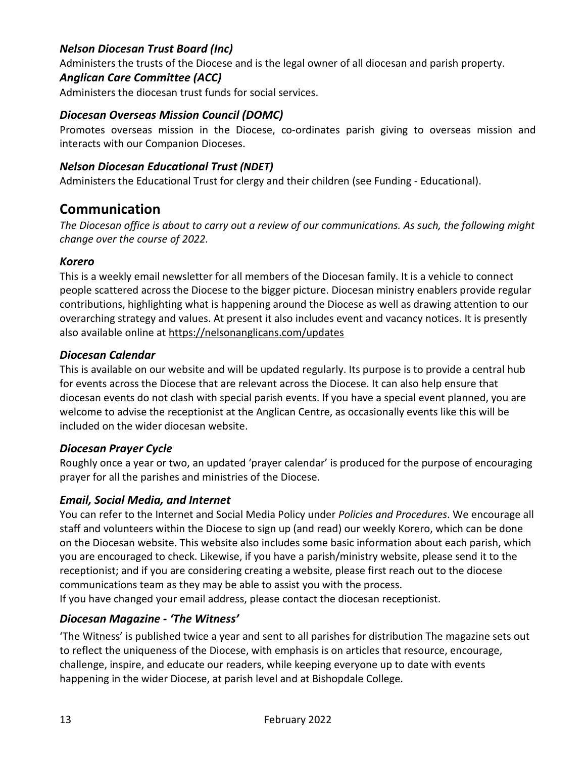#### *Nelson Diocesan Trust Board (Inc)*

Administers the trusts of the Diocese and is the legal owner of all diocesan and parish property.

#### *Anglican Care Committee (ACC)*

Administers the diocesan trust funds for social services.

#### *Diocesan Overseas Mission Council (DOMC)*

Promotes overseas mission in the Diocese, co-ordinates parish giving to overseas mission and interacts with our Companion Dioceses.

#### *Nelson Diocesan Educational Trust (NDET)*

Administers the Educational Trust for clergy and their children (see Funding - Educational).

### **Communication**

*The Diocesan office is about to carry out a review of our communications. As such, the following might change over the course of 2022.*

#### *Korero*

This is a weekly email newsletter for all members of the Diocesan family. It is a vehicle to connect people scattered across the Diocese to the bigger picture. Diocesan ministry enablers provide regular contributions, highlighting what is happening around the Diocese as well as drawing attention to our overarching strategy and values. At present it also includes event and vacancy notices. It is presently also available online at https://nelsonanglicans.com/updates

#### *Diocesan Calendar*

This is available on our website and will be updated regularly. Its purpose is to provide a central hub for events across the Diocese that are relevant across the Diocese. It can also help ensure that diocesan events do not clash with special parish events. If you have a special event planned, you are welcome to advise the receptionist at the Anglican Centre, as occasionally events like this will be included on the wider diocesan website.

#### *Diocesan Prayer Cycle*

Roughly once a year or two, an updated 'prayer calendar' is produced for the purpose of encouraging prayer for all the parishes and ministries of the Diocese.

#### *Email, Social Media, and Internet*

You can refer to the Internet and Social Media Policy under *Policies and Procedures*. We encourage all staff and volunteers within the Diocese to sign up (and read) our weekly Korero, which can be done on the Diocesan website. This website also includes some basic information about each parish, which you are encouraged to check. Likewise, if you have a parish/ministry website, please send it to the receptionist; and if you are considering creating a website, please first reach out to the diocese communications team as they may be able to assist you with the process. If you have changed your email address, please contact the diocesan receptionist.

#### *Diocesan Magazine - 'The Witness'*

'The Witness' is published twice a year and sent to all parishes for distribution The magazine sets out to reflect the uniqueness of the Diocese, with emphasis is on articles that resource, encourage, challenge, inspire, and educate our readers, while keeping everyone up to date with events happening in the wider Diocese, at parish level and at Bishopdale College.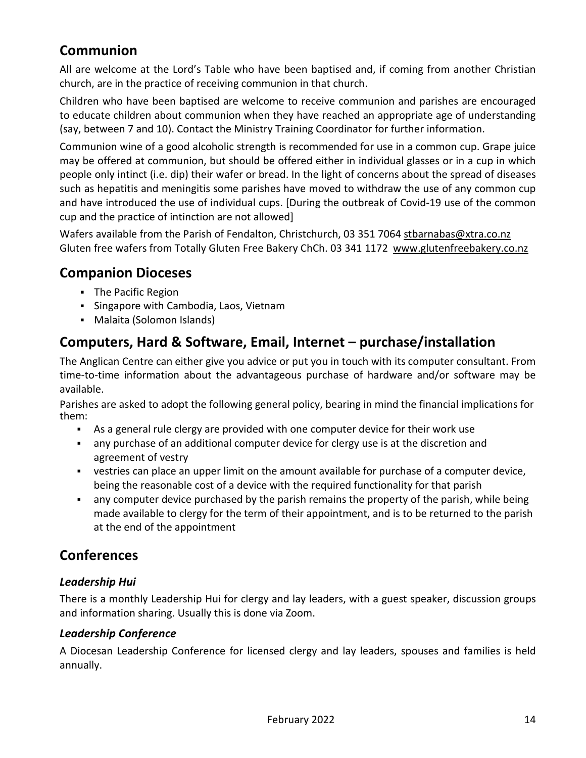# **Communion**

All are welcome at the Lord's Table who have been baptised and, if coming from another Christian church, are in the practice of receiving communion in that church.

Children who have been baptised are welcome to receive communion and parishes are encouraged to educate children about communion when they have reached an appropriate age of understanding (say, between 7 and 10). Contact the Ministry Training Coordinator for further information.

Communion wine of a good alcoholic strength is recommended for use in a common cup. Grape juice may be offered at communion, but should be offered either in individual glasses or in a cup in which people only intinct (i.e. dip) their wafer or bread. In the light of concerns about the spread of diseases such as hepatitis and meningitis some parishes have moved to withdraw the use of any common cup and have introduced the use of individual cups. [During the outbreak of Covid-19 use of the common cup and the practice of intinction are not allowed]

Wafers available from the Parish of Fendalton, Christchurch, 03 351 7064 [stbarnabas@xtra.co.nz](mailto:stbarnabas@xtra.co.nz)  Gluten free wafers from Totally Gluten Free Bakery ChCh. 03 341 1172 [www.glutenfreebakery.co.nz](http://www.glutenfreebakery.co.nz/)

## **Companion Dioceses**

- **The Pacific Region**
- Singapore with Cambodia, Laos, Vietnam
- Malaita (Solomon Islands)

# **Computers, Hard & Software, Email, Internet – purchase/installation**

The Anglican Centre can either give you advice or put you in touch with its computer consultant. From time-to-time information about the advantageous purchase of hardware and/or software may be available.

Parishes are asked to adopt the following general policy, bearing in mind the financial implications for them:

- As a general rule clergy are provided with one computer device for their work use
- any purchase of an additional computer device for clergy use is at the discretion and agreement of vestry
- vestries can place an upper limit on the amount available for purchase of a computer device, being the reasonable cost of a device with the required functionality for that parish
- any computer device purchased by the parish remains the property of the parish, while being made available to clergy for the term of their appointment, and is to be returned to the parish at the end of the appointment

## **Conferences**

### *Leadership Hui*

There is a monthly Leadership Hui for clergy and lay leaders, with a guest speaker, discussion groups and information sharing. Usually this is done via Zoom.

### *Leadership Conference*

A Diocesan Leadership Conference for licensed clergy and lay leaders, spouses and families is held annually.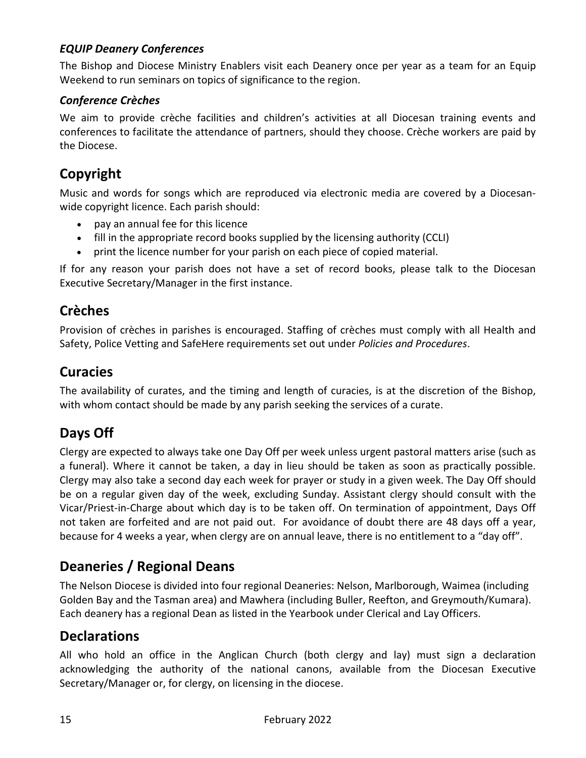### *EQUIP Deanery Conferences*

The Bishop and Diocese Ministry Enablers visit each Deanery once per year as a team for an Equip Weekend to run seminars on topics of significance to the region.

#### *Conference Crèches*

We aim to provide crèche facilities and children's activities at all Diocesan training events and conferences to facilitate the attendance of partners, should they choose. Crèche workers are paid by the Diocese.

## **Copyright**

Music and words for songs which are reproduced via electronic media are covered by a Diocesanwide copyright licence. Each parish should:

- pay an annual fee for this licence
- fill in the appropriate record books supplied by the licensing authority (CCLI)
- print the licence number for your parish on each piece of copied material.

If for any reason your parish does not have a set of record books, please talk to the Diocesan Executive Secretary/Manager in the first instance.

# **Crèches**

Provision of crèches in parishes is encouraged. Staffing of crèches must comply with all Health and Safety, Police Vetting and SafeHere requirements set out under *Policies and Procedures*.

## **Curacies**

The availability of curates, and the timing and length of curacies, is at the discretion of the Bishop, with whom contact should be made by any parish seeking the services of a curate.

## **Days Off**

Clergy are expected to always take one Day Off per week unless urgent pastoral matters arise (such as a funeral). Where it cannot be taken, a day in lieu should be taken as soon as practically possible. Clergy may also take a second day each week for prayer or study in a given week. The Day Off should be on a regular given day of the week, excluding Sunday. Assistant clergy should consult with the Vicar/Priest-in-Charge about which day is to be taken off. On termination of appointment, Days Off not taken are forfeited and are not paid out. For avoidance of doubt there are 48 days off a year, because for 4 weeks a year, when clergy are on annual leave, there is no entitlement to a "day off".

## **Deaneries / Regional Deans**

The Nelson Diocese is divided into four regional Deaneries: Nelson, Marlborough, Waimea (including Golden Bay and the Tasman area) and Mawhera (including Buller, Reefton, and Greymouth/Kumara). Each deanery has a regional Dean as listed in the Yearbook under Clerical and Lay Officers.

## **Declarations**

All who hold an office in the Anglican Church (both clergy and lay) must sign a declaration acknowledging the authority of the national canons, available from the Diocesan Executive Secretary/Manager or, for clergy, on licensing in the diocese.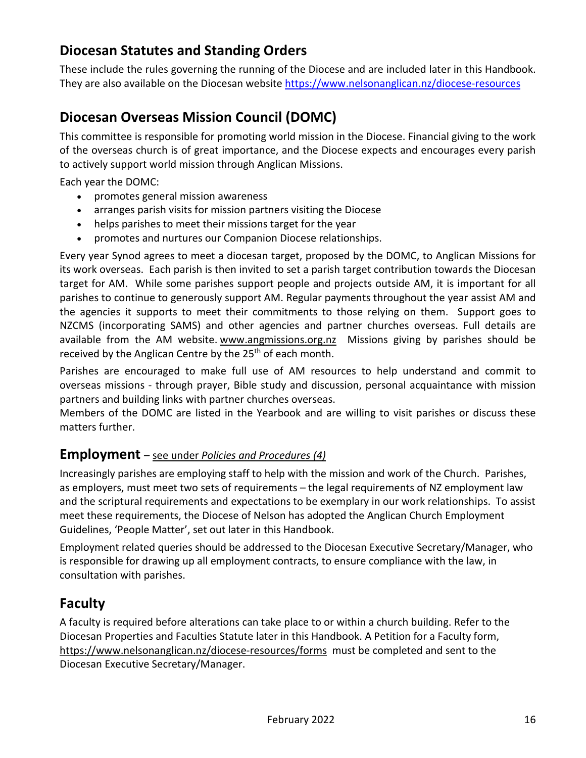# **Diocesan Statutes and Standing Orders**

These include the rules governing the running of the Diocese and are included later in this Handbook. They are also available on the Diocesan websit[e https://www.nelsonanglican.nz/diocese-resources](https://www.nelsonanglican.nz/diocese-resources)

# **Diocesan Overseas Mission Council (DOMC)**

This committee is responsible for promoting world mission in the Diocese. Financial giving to the work of the overseas church is of great importance, and the Diocese expects and encourages every parish to actively support world mission through Anglican Missions.

Each year the DOMC:

- promotes general mission awareness
- arranges parish visits for mission partners visiting the Diocese
- helps parishes to meet their missions target for the year
- promotes and nurtures our Companion Diocese relationships.

Every year Synod agrees to meet a diocesan target, proposed by the DOMC, to Anglican Missions for its work overseas. Each parish is then invited to set a parish target contribution towards the Diocesan target for AM. While some parishes support people and projects outside AM, it is important for all parishes to continue to generously support AM. Regular payments throughout the year assist AM and the agencies it supports to meet their commitments to those relying on them. Support goes to NZCMS (incorporating SAMS) and other agencies and partner churches overseas. Full details are available from the AM website. [www.angmissions.org.nz](http://www.angmissions.org.nz/) Missions giving by parishes should be received by the Anglican Centre by the 25<sup>th</sup> of each month.

Parishes are encouraged to make full use of AM resources to help understand and commit to overseas missions - through prayer, Bible study and discussion, personal acquaintance with mission partners and building links with partner churches overseas.

Members of the DOMC are listed in the Yearbook and are willing to visit parishes or discuss these matters further.

### **Employment** – see under *Policies and Procedures (4)*

Increasingly parishes are employing staff to help with the mission and work of the Church. Parishes, as employers, must meet two sets of requirements – the legal requirements of NZ employment law and the scriptural requirements and expectations to be exemplary in our work relationships. To assist meet these requirements, the Diocese of Nelson has adopted the Anglican Church Employment Guidelines, 'People Matter', set out later in this Handbook.

Employment related queries should be addressed to the Diocesan Executive Secretary/Manager, who is responsible for drawing up all employment contracts, to ensure compliance with the law, in consultation with parishes.

## **Faculty**

A faculty is required before alterations can take place to or within a church building. Refer to the Diocesan Properties and Faculties Statute later in this Handbook. A Petition for a Faculty form, <https://www.nelsonanglican.nz/diocese-resources/forms> must be completed and sent to the Diocesan Executive Secretary/Manager.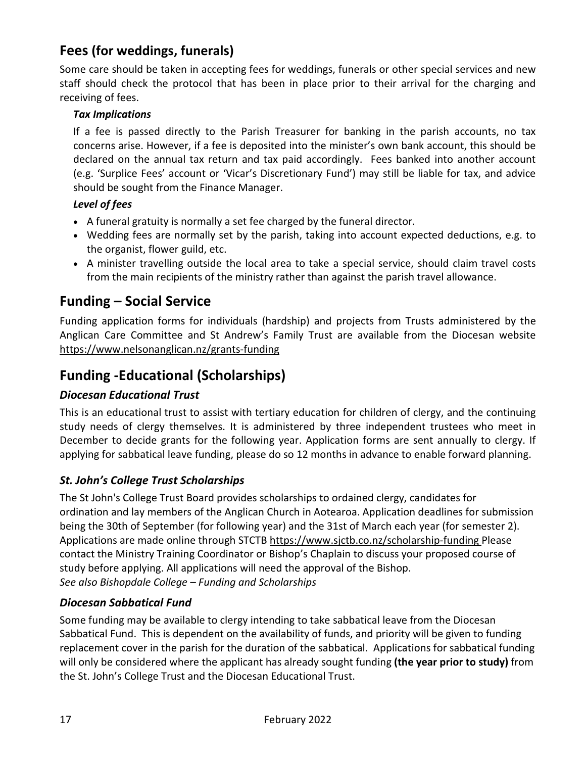# **Fees (for weddings, funerals)**

Some care should be taken in accepting fees for weddings, funerals or other special services and new staff should check the protocol that has been in place prior to their arrival for the charging and receiving of fees.

#### *Tax Implications*

If a fee is passed directly to the Parish Treasurer for banking in the parish accounts, no tax concerns arise. However, if a fee is deposited into the minister's own bank account, this should be declared on the annual tax return and tax paid accordingly. Fees banked into another account (e.g. 'Surplice Fees' account or 'Vicar's Discretionary Fund') may still be liable for tax, and advice should be sought from the Finance Manager.

#### *Level of fees*

- A funeral gratuity is normally a set fee charged by the funeral director.
- Wedding fees are normally set by the parish, taking into account expected deductions, e.g. to the organist, flower guild, etc.
- A minister travelling outside the local area to take a special service, should claim travel costs from the main recipients of the ministry rather than against the parish travel allowance.

## **Funding – Social Service**

Funding application forms for individuals (hardship) and projects from Trusts administered by the Anglican Care Committee and St Andrew's Family Trust are available from the Diocesan website <https://www.nelsonanglican.nz/grants-funding>

# **Funding -Educational (Scholarships)**

### *Diocesan Educational Trust*

This is an educational trust to assist with tertiary education for children of clergy, and the continuing study needs of clergy themselves. It is administered by three independent trustees who meet in December to decide grants for the following year. Application forms are sent annually to clergy. If applying for sabbatical leave funding, please do so 12 months in advance to enable forward planning.

### *St. John's College Trust Scholarships*

The St John's College Trust Board provides scholarships to ordained clergy, candidates for ordination and lay members of the Anglican Church in Aotearoa. Application deadlines for submission being the 30th of September (for following year) and the 31st of March each year (for semester 2). Applications are made online through STCTB<https://www.sjctb.co.nz/scholarship-funding> Please contact the Ministry Training Coordinator or Bishop's Chaplain to discuss your proposed course of study before applying. All applications will need the approval of the Bishop. *See also Bishopdale College – Funding and Scholarships*

### *Diocesan Sabbatical Fund*

Some funding may be available to clergy intending to take sabbatical leave from the Diocesan Sabbatical Fund. This is dependent on the availability of funds, and priority will be given to funding replacement cover in the parish for the duration of the sabbatical. Applications for sabbatical funding will only be considered where the applicant has already sought funding **(the year prior to study)** from the St. John's College Trust and the Diocesan Educational Trust.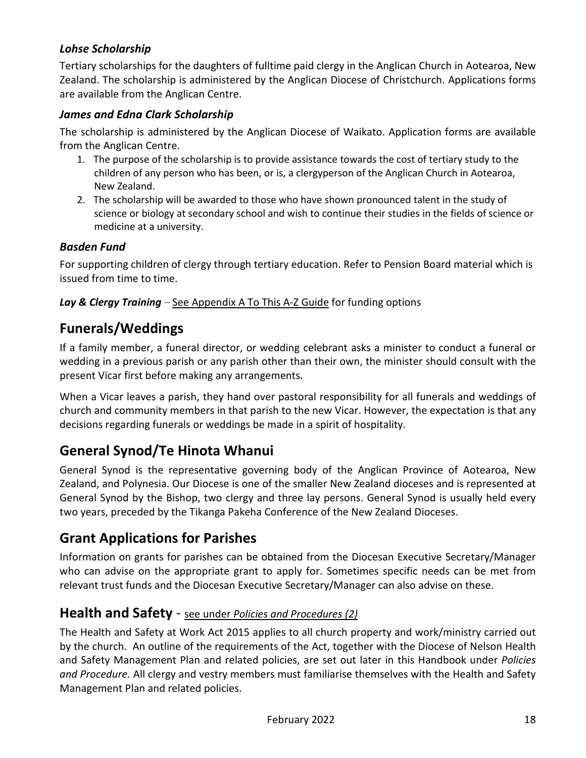### *Lohse Scholarship*

Tertiary scholarships for the daughters of fulltime paid clergy in the Anglican Church in Aotearoa, New Zealand. The scholarship is administered by the Anglican Diocese of Christchurch. Applications forms are available from the Anglican Centre.

#### *James and Edna Clark Scholarship*

The scholarship is administered by the Anglican Diocese of Waikato. Application forms are available from the Anglican Centre.

- 1. The purpose of the scholarship is to provide assistance towards the cost of tertiary study to the children of any person who has been, or is, a clergyperson of the Anglican Church in Aotearoa, New Zealand.
- 2. The scholarship will be awarded to those who have shown pronounced talent in the study of science or biology at secondary school and wish to continue their studies in the fields of science or medicine at a university.

#### *Basden Fund*

For supporting children of clergy through tertiary education. Refer to Pension Board material which is issued from time to time.

#### *Lay & Clergy Training* – See Appendix A To This A-Z Guide for funding options

## **Funerals/Weddings**

If a family member, a funeral director, or wedding celebrant asks a minister to conduct a funeral or wedding in a previous parish or any parish other than their own, the minister should consult with the present Vicar first before making any arrangements.

When a Vicar leaves a parish, they hand over pastoral responsibility for all funerals and weddings of church and community members in that parish to the new Vicar. However, the expectation is that any decisions regarding funerals or weddings be made in a spirit of hospitality.

## **General Synod/Te Hinota Whanui**

General Synod is the representative governing body of the Anglican Province of Aotearoa, New Zealand, and Polynesia. Our Diocese is one of the smaller New Zealand dioceses and is represented at General Synod by the Bishop, two clergy and three lay persons. General Synod is usually held every two years, preceded by the Tikanga Pakeha Conference of the New Zealand Dioceses.

## **Grant Applications for Parishes**

Information on grants for parishes can be obtained from the Diocesan Executive Secretary/Manager who can advise on the appropriate grant to apply for. Sometimes specific needs can be met from relevant trust funds and the Diocesan Executive Secretary/Manager can also advise on these.

### **Health and Safety** - see under *Policies and Procedures (2)*

The Health and Safety at Work Act 2015 applies to all church property and work/ministry carried out by the church. An outline of the requirements of the Act, together with the Diocese of Nelson Health and Safety Management Plan and related policies, are set out later in this Handbook under *Policies and Procedure.* All clergy and vestry members must familiarise themselves with the Health and Safety Management Plan and related policies.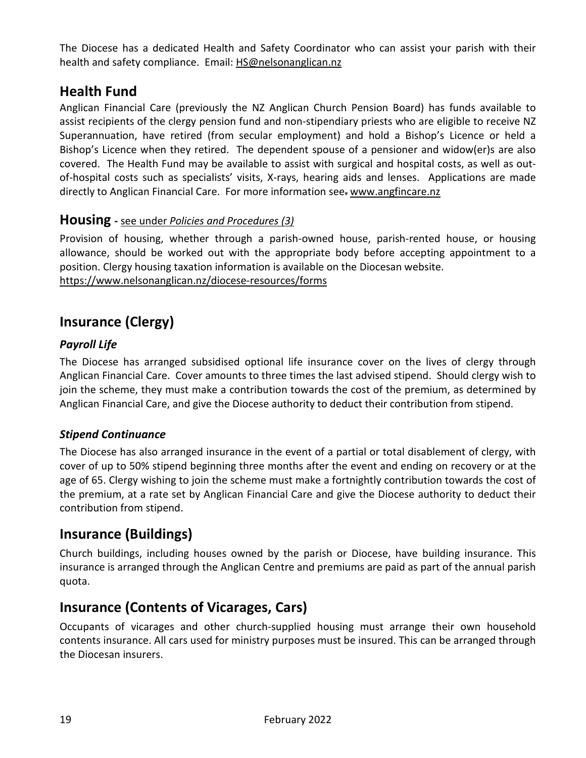The Diocese has a dedicated Health and Safety Coordinator who can assist your parish with their health and safety compliance. Email: [HS@nelsonanglican.nz](mailto:HS@nelsonanglican.nz)

# **Health Fund**

Anglican Financial Care (previously the NZ Anglican Church Pension Board) has funds available to assist recipients of the clergy pension fund and non-stipendiary priests who are eligible to receive NZ Superannuation, have retired (from secular employment) and hold a Bishop's Licence or held a Bishop's Licence when they retired. The dependent spouse of a pensioner and widow(er)s are also covered. The Health Fund may be available to assist with surgical and hospital costs, as well as outof-hospital costs such as specialists' visits, X-rays, hearing aids and lenses. Applications are made directly to Anglican Financial Care. For more information see. www.angfincare.nz

### **Housing -** see under *Policies and Procedures (3)*

Provision of housing, whether through a parish-owned house, parish-rented house, or housing allowance, should be worked out with the appropriate body before accepting appointment to a position. Clergy housing taxation information is available on the Diocesan website. <https://www.nelsonanglican.nz/diocese-resources/forms>

# **Insurance (Clergy)**

### *Payroll Life*

The Diocese has arranged subsidised optional life insurance cover on the lives of clergy through Anglican Financial Care. Cover amounts to three times the last advised stipend. Should clergy wish to join the scheme, they must make a contribution towards the cost of the premium, as determined by Anglican Financial Care, and give the Diocese authority to deduct their contribution from stipend.

### *Stipend Continuance*

The Diocese has also arranged insurance in the event of a partial or total disablement of clergy, with cover of up to 50% stipend beginning three months after the event and ending on recovery or at the age of 65. Clergy wishing to join the scheme must make a fortnightly contribution towards the cost of the premium, at a rate set by Anglican Financial Care and give the Diocese authority to deduct their contribution from stipend.

# **Insurance (Buildings)**

Church buildings, including houses owned by the parish or Diocese, have building insurance. This insurance is arranged through the Anglican Centre and premiums are paid as part of the annual parish quota.

## **Insurance (Contents of Vicarages, Cars)**

Occupants of vicarages and other church-supplied housing must arrange their own household contents insurance. All cars used for ministry purposes must be insured. This can be arranged through the Diocesan insurers.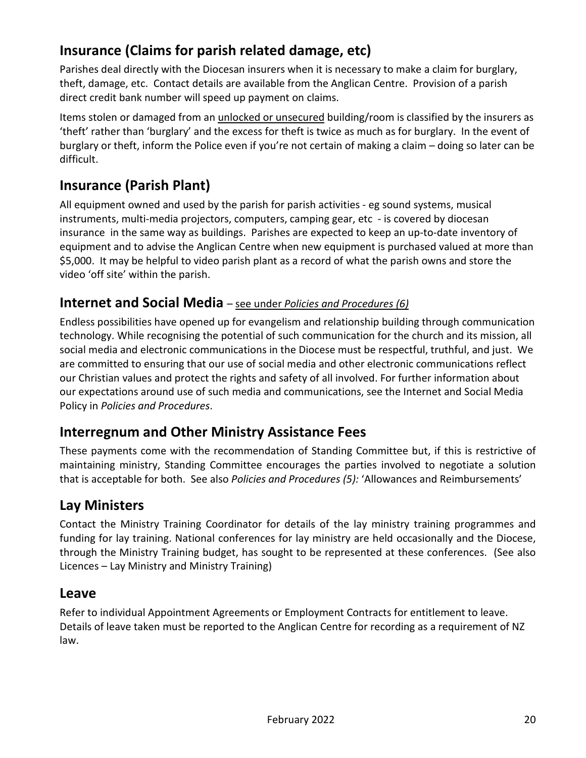# **Insurance (Claims for parish related damage, etc)**

Parishes deal directly with the Diocesan insurers when it is necessary to make a claim for burglary, theft, damage, etc. Contact details are available from the Anglican Centre. Provision of a parish direct credit bank number will speed up payment on claims.

Items stolen or damaged from an unlocked or unsecured building/room is classified by the insurers as 'theft' rather than 'burglary' and the excess for theft is twice as much as for burglary. In the event of burglary or theft, inform the Police even if you're not certain of making a claim – doing so later can be difficult.

# **Insurance (Parish Plant)**

All equipment owned and used by the parish for parish activities - eg sound systems, musical instruments, multi-media projectors, computers, camping gear, etc - is covered by diocesan insurance in the same way as buildings. Parishes are expected to keep an up-to-date inventory of equipment and to advise the Anglican Centre when new equipment is purchased valued at more than \$5,000. It may be helpful to video parish plant as a record of what the parish owns and store the video 'off site' within the parish.

## **Internet and Social Media** – see under *Policies and Procedures (6)*

Endless possibilities have opened up for evangelism and relationship building through communication technology. While recognising the potential of such communication for the church and its mission, all social media and electronic communications in the Diocese must be respectful, truthful, and just. We are committed to ensuring that our use of social media and other electronic communications reflect our Christian values and protect the rights and safety of all involved. For further information about our expectations around use of such media and communications, see the Internet and Social Media Policy in *Policies and Procedures*.

## **Interregnum and Other Ministry Assistance Fees**

These payments come with the recommendation of Standing Committee but, if this is restrictive of maintaining ministry, Standing Committee encourages the parties involved to negotiate a solution that is acceptable for both. See also *Policies and Procedures (5):* 'Allowances and Reimbursements'

## **Lay Ministers**

Contact the Ministry Training Coordinator for details of the lay ministry training programmes and funding for lay training. National conferences for lay ministry are held occasionally and the Diocese, through the Ministry Training budget, has sought to be represented at these conferences. (See also Licences – Lay Ministry and Ministry Training)

### **Leave**

Refer to individual Appointment Agreements or Employment Contracts for entitlement to leave. Details of leave taken must be reported to the Anglican Centre for recording as a requirement of NZ law.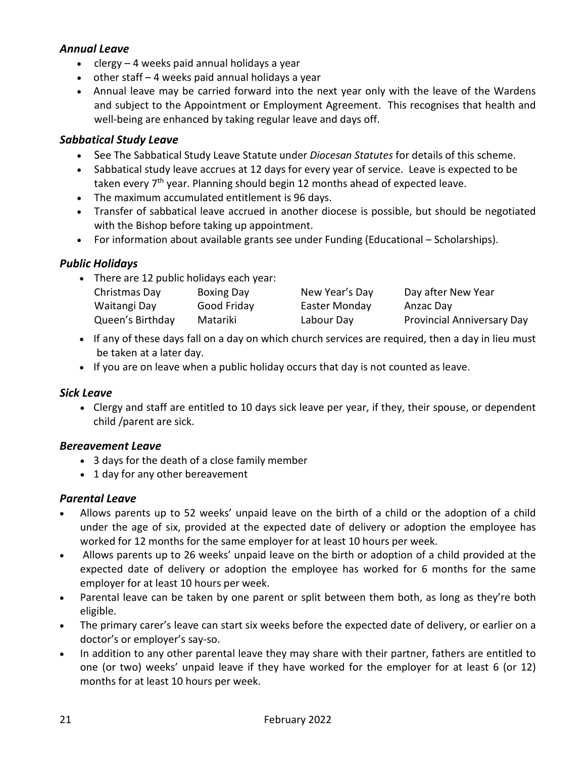### *Annual Leave*

- clergy 4 weeks paid annual holidays a year
- other staff 4 weeks paid annual holidays a year
- Annual leave may be carried forward into the next year only with the leave of the Wardens and subject to the Appointment or Employment Agreement. This recognises that health and well-being are enhanced by taking regular leave and days off.

### *Sabbatical Study Leave*

- See The Sabbatical Study Leave Statute under *Diocesan Statutes* for details of this scheme.
- Sabbatical study leave accrues at 12 days for every year of service. Leave is expected to be taken every  $7<sup>th</sup>$  year. Planning should begin 12 months ahead of expected leave.
- The maximum accumulated entitlement is 96 days.
- Transfer of sabbatical leave accrued in another diocese is possible, but should be negotiated with the Bishop before taking up appointment.
- For information about available grants see under Funding (Educational Scholarships).

### *Public Holidays*

• There are 12 public holidays each year:

| Christmas Day    | Boxing Day  | New Year's Day | Day after New Year                |
|------------------|-------------|----------------|-----------------------------------|
| Waitangi Day     | Good Friday | Easter Monday  | Anzac Day                         |
| Queen's Birthday | Matariki    | Labour Day     | <b>Provincial Anniversary Day</b> |

- If any of these days fall on a day on which church services are required, then a day in lieu must be taken at a later day.
- If you are on leave when a public holiday occurs that day is not counted as leave.

#### *Sick Leave*

• Clergy and staff are entitled to 10 days sick leave per year, if they, their spouse, or dependent child /parent are sick.

#### *Bereavement Leave*

- 3 days for the death of a close family member
- 1 day for any other bereavement

#### *Parental Leave*

- Allows parents up to 52 weeks' unpaid leave on the birth of a child or the adoption of a child under the age of six, provided at the expected date of delivery or adoption the employee has worked for 12 months for the same employer for at least 10 hours per week.
- Allows parents up to 26 weeks' unpaid leave on the birth or adoption of a child provided at the expected date of delivery or adoption the employee has worked for 6 months for the same employer for at least 10 hours per week.
- Parental leave can be taken by one parent or split between them both, as long as they're both eligible.
- The primary carer's leave can start six weeks before the expected date of delivery, or earlier on a doctor's or employer's say-so.
- In addition to any other parental leave they may share with their partner, fathers are entitled to one (or two) weeks' unpaid leave if they have worked for the employer for at least 6 (or 12) months for at least 10 hours per week.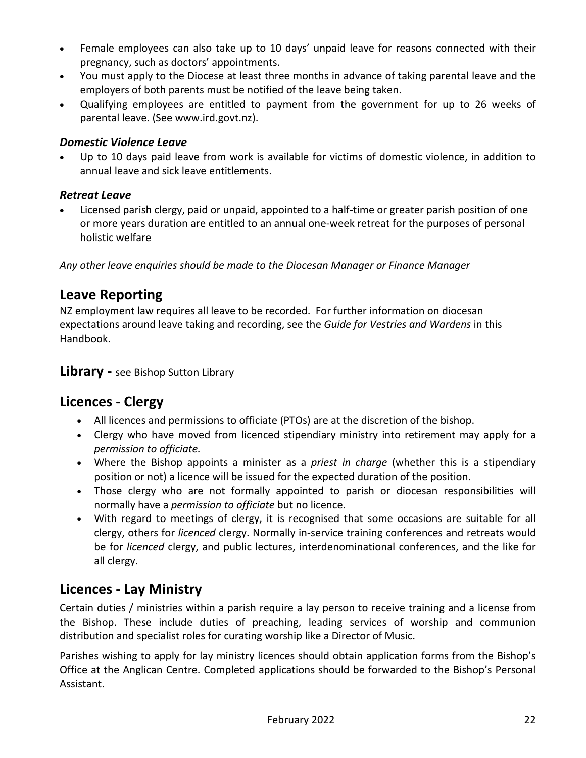- Female employees can also take up to 10 days' unpaid leave for reasons connected with their pregnancy, such as doctors' appointments.
- You must apply to the Diocese at least three months in advance of taking parental leave and the employers of both parents must be notified of the leave being taken.
- Qualifying employees are entitled to payment from the government for up to 26 weeks of parental leave. (See www.ird.govt.nz).

#### *Domestic Violence Leave*

Up to 10 days paid leave from work is available for victims of domestic violence, in addition to annual leave and sick leave entitlements.

### *Retreat Leave*

• Licensed parish clergy, paid or unpaid, appointed to a half-time or greater parish position of one or more years duration are entitled to an annual one-week retreat for the purposes of personal holistic welfare

*Any other leave enquiries should be made to the Diocesan Manager or Finance Manager*

### **Leave Reporting**

NZ employment law requires all leave to be recorded. For further information on diocesan expectations around leave taking and recording, see the *Guide for Vestries and Wardens* in this Handbook.

**Library -** see Bishop Sutton Library

## **Licences - Clergy**

- All licences and permissions to officiate (PTOs) are at the discretion of the bishop.
- Clergy who have moved from licenced stipendiary ministry into retirement may apply for a *permission to officiate.*
- Where the Bishop appoints a minister as a *priest in charge* (whether this is a stipendiary position or not) a licence will be issued for the expected duration of the position.
- Those clergy who are not formally appointed to parish or diocesan responsibilities will normally have a *permission to officiate* but no licence.
- With regard to meetings of clergy, it is recognised that some occasions are suitable for all clergy, others for *licenced* clergy. Normally in-service training conferences and retreats would be for *licenced* clergy, and public lectures, interdenominational conferences, and the like for all clergy.

## **Licences - Lay Ministry**

Certain duties / ministries within a parish require a lay person to receive training and a license from the Bishop. These include duties of preaching, leading services of worship and communion distribution and specialist roles for curating worship like a Director of Music.

Parishes wishing to apply for lay ministry licences should obtain application forms from the Bishop's Office at the Anglican Centre. Completed applications should be forwarded to the Bishop's Personal Assistant.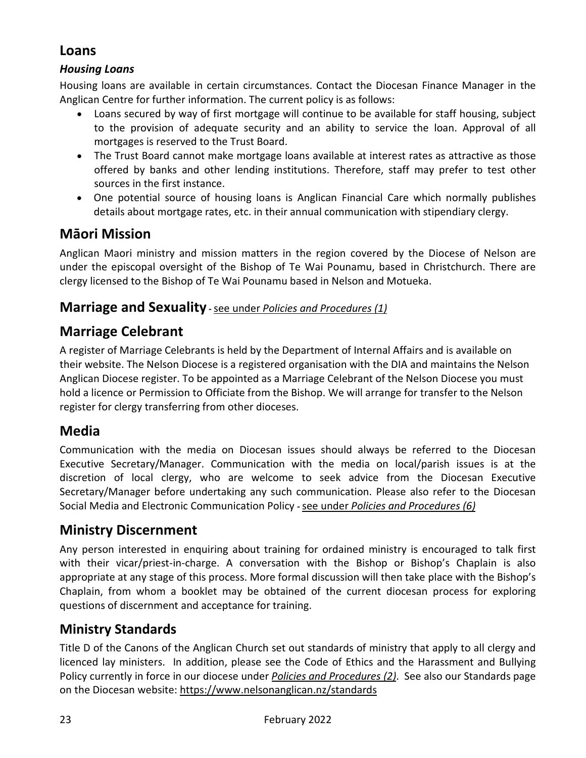# **Loans**

### *Housing Loans*

Housing loans are available in certain circumstances. Contact the Diocesan Finance Manager in the Anglican Centre for further information. The current policy is as follows:

- Loans secured by way of first mortgage will continue to be available for staff housing, subject to the provision of adequate security and an ability to service the loan. Approval of all mortgages is reserved to the Trust Board.
- The Trust Board cannot make mortgage loans available at interest rates as attractive as those offered by banks and other lending institutions. Therefore, staff may prefer to test other sources in the first instance.
- One potential source of housing loans is Anglican Financial Care which normally publishes details about mortgage rates, etc. in their annual communication with stipendiary clergy.

## **Māori Mission**

Anglican Maori ministry and mission matters in the region covered by the Diocese of Nelson are under the episcopal oversight of the Bishop of Te Wai Pounamu, based in Christchurch. There are clergy licensed to the Bishop of Te Wai Pounamu based in Nelson and Motueka.

### **Marriage and Sexuality -**see under *Policies and Procedures (1)*

# **Marriage Celebrant**

A register of Marriage Celebrants is held by the Department of Internal Affairs and is available on their website. The Nelson Diocese is a registered organisation with the DIA and maintains the Nelson Anglican Diocese register. To be appointed as a Marriage Celebrant of the Nelson Diocese you must hold a licence or Permission to Officiate from the Bishop. We will arrange for transfer to the Nelson register for clergy transferring from other dioceses.

## **Media**

Communication with the media on Diocesan issues should always be referred to the Diocesan Executive Secretary/Manager. Communication with the media on local/parish issues is at the discretion of local clergy, who are welcome to seek advice from the Diocesan Executive Secretary/Manager before undertaking any such communication. Please also refer to the Diocesan Social Media and Electronic Communication Policy **-**see under *Policies and Procedures (6)* 

# **Ministry Discernment**

Any person interested in enquiring about training for ordained ministry is encouraged to talk first with their vicar/priest-in-charge. A conversation with the Bishop or Bishop's Chaplain is also appropriate at any stage of this process. More formal discussion will then take place with the Bishop's Chaplain, from whom a booklet may be obtained of the current diocesan process for exploring questions of discernment and acceptance for training.

### **Ministry Standards**

Title D of the Canons of the Anglican Church set out standards of ministry that apply to all clergy and licenced lay ministers. In addition, please see the Code of Ethics and the Harassment and Bullying Policy currently in force in our diocese under *Policies and Procedures (2)*. See also our Standards page on the Diocesan website:<https://www.nelsonanglican.nz/standards>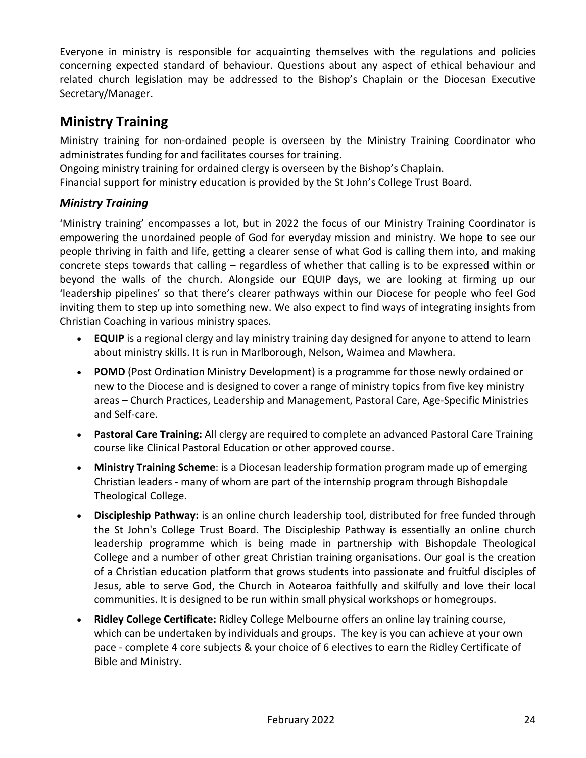Everyone in ministry is responsible for acquainting themselves with the regulations and policies concerning expected standard of behaviour. Questions about any aspect of ethical behaviour and related church legislation may be addressed to the Bishop's Chaplain or the Diocesan Executive Secretary/Manager.

# **Ministry Training**

Ministry training for non-ordained people is overseen by the Ministry Training Coordinator who administrates funding for and facilitates courses for training.

Ongoing ministry training for ordained clergy is overseen by the Bishop's Chaplain.

Financial support for ministry education is provided by the St John's College Trust Board.

### *Ministry Training*

'Ministry training' encompasses a lot, but in 2022 the focus of our Ministry Training Coordinator is empowering the unordained people of God for everyday mission and ministry. We hope to see our people thriving in faith and life, getting a clearer sense of what God is calling them into, and making concrete steps towards that calling – regardless of whether that calling is to be expressed within or beyond the walls of the church. Alongside our EQUIP days, we are looking at firming up our 'leadership pipelines' so that there's clearer pathways within our Diocese for people who feel God inviting them to step up into something new. We also expect to find ways of integrating insights from Christian Coaching in various ministry spaces.

- **EQUIP** is a regional clergy and lay ministry training day designed for anyone to attend to learn about ministry skills. It is run in Marlborough, Nelson, Waimea and Mawhera.
- **POMD** (Post Ordination Ministry Development) is a programme for those newly ordained or new to the Diocese and is designed to cover a range of ministry topics from five key ministry areas – Church Practices, Leadership and Management, Pastoral Care, Age-Specific Ministries and Self-care.
- **Pastoral Care Training:** All clergy are required to complete an advanced Pastoral Care Training course like Clinical Pastoral Education or other approved course.
- **Ministry Training Scheme**: is a Diocesan leadership formation program made up of emerging Christian leaders - many of whom are part of the internship program through Bishopdale Theological College.
- **Discipleship Pathway:** is an online church leadership tool, distributed for free funded through the St John's College Trust Board. The Discipleship Pathway is essentially an online church leadership programme which is being made in partnership with Bishopdale Theological College and a number of other great Christian training organisations. Our goal is the creation of a Christian education platform that grows students into passionate and fruitful disciples of Jesus, able to serve God, the Church in Aotearoa faithfully and skilfully and love their local communities. It is designed to be run within small physical workshops or homegroups.
- **Ridley College Certificate:** Ridley College Melbourne offers an online lay training course, which can be undertaken by individuals and groups. The key is you can achieve at your own pace - complete 4 core subjects & your choice of 6 electives to earn the Ridley Certificate of Bible and Ministry.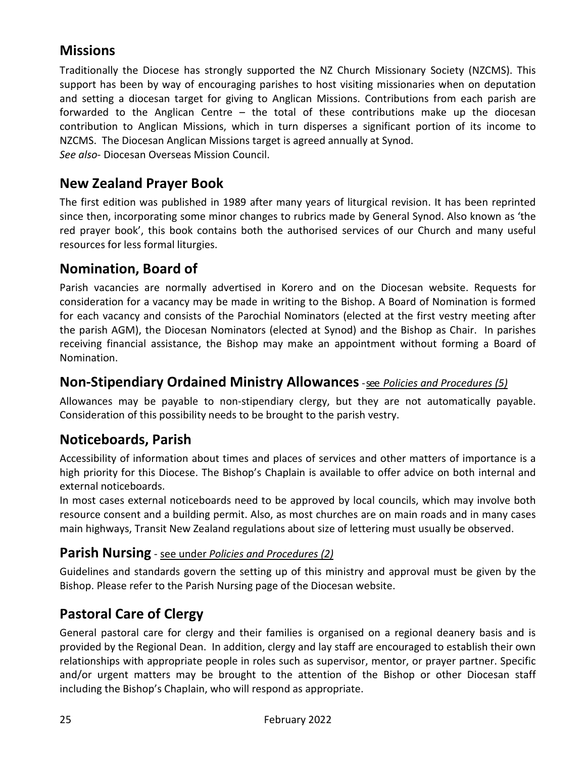# **Missions**

Traditionally the Diocese has strongly supported the NZ Church Missionary Society (NZCMS). This support has been by way of encouraging parishes to host visiting missionaries when on deputation and setting a diocesan target for giving to Anglican Missions. Contributions from each parish are forwarded to the Anglican Centre – the total of these contributions make up the diocesan contribution to Anglican Missions, which in turn disperses a significant portion of its income to NZCMS. The Diocesan Anglican Missions target is agreed annually at Synod. *See also*- Diocesan Overseas Mission Council.

## **New Zealand Prayer Book**

The first edition was published in 1989 after many years of liturgical revision. It has been reprinted since then, incorporating some minor changes to rubrics made by General Synod. Also known as 'the red prayer book', this book contains both the authorised services of our Church and many useful resources for less formal liturgies.

## **Nomination, Board of**

Parish vacancies are normally advertised in Korero and on the Diocesan website. Requests for consideration for a vacancy may be made in writing to the Bishop. A Board of Nomination is formed for each vacancy and consists of the Parochial Nominators (elected at the first vestry meeting after the parish AGM), the Diocesan Nominators (elected at Synod) and the Bishop as Chair. In parishes receiving financial assistance, the Bishop may make an appointment without forming a Board of Nomination.

### **Non-Stipendiary Ordained Ministry Allowances**-see *Policies and Procedures (5)*

Allowances may be payable to non-stipendiary clergy, but they are not automatically payable. Consideration of this possibility needs to be brought to the parish vestry.

### **Noticeboards, Parish**

Accessibility of information about times and places of services and other matters of importance is a high priority for this Diocese. The Bishop's Chaplain is available to offer advice on both internal and external noticeboards.

In most cases external noticeboards need to be approved by local councils, which may involve both resource consent and a building permit. Also, as most churches are on main roads and in many cases main highways, Transit New Zealand regulations about size of lettering must usually be observed.

### **Parish Nursing** - see under *Policies and Procedures (2)*

Guidelines and standards govern the setting up of this ministry and approval must be given by the Bishop. Please refer to the Parish Nursing page of the Diocesan website.

## **Pastoral Care of Clergy**

General pastoral care for clergy and their families is organised on a regional deanery basis and is provided by the Regional Dean. In addition, clergy and lay staff are encouraged to establish their own relationships with appropriate people in roles such as supervisor, mentor, or prayer partner. Specific and/or urgent matters may be brought to the attention of the Bishop or other Diocesan staff including the Bishop's Chaplain, who will respond as appropriate.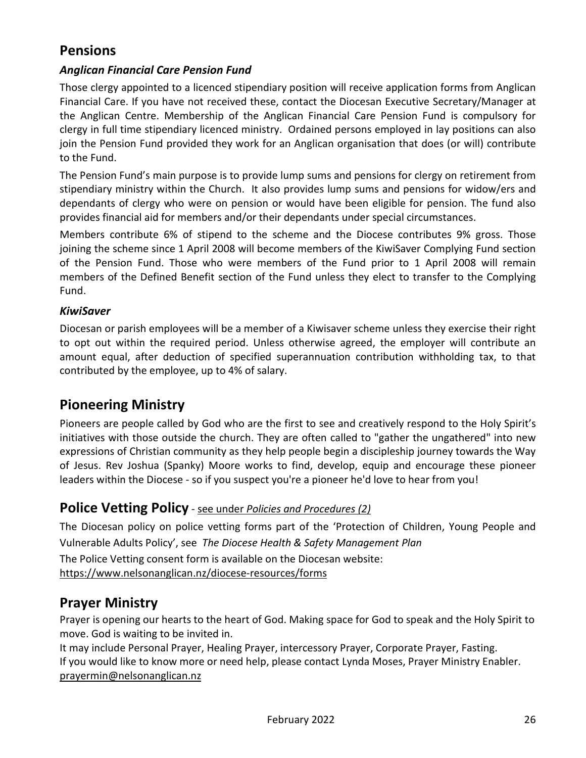# **Pensions**

### *Anglican Financial Care Pension Fund*

Those clergy appointed to a licenced stipendiary position will receive application forms from Anglican Financial Care. If you have not received these, contact the Diocesan Executive Secretary/Manager at the Anglican Centre. Membership of the Anglican Financial Care Pension Fund is compulsory for clergy in full time stipendiary licenced ministry. Ordained persons employed in lay positions can also join the Pension Fund provided they work for an Anglican organisation that does (or will) contribute to the Fund.

The Pension Fund's main purpose is to provide lump sums and pensions for clergy on retirement from stipendiary ministry within the Church. It also provides lump sums and pensions for widow/ers and dependants of clergy who were on pension or would have been eligible for pension. The fund also provides financial aid for members and/or their dependants under special circumstances.

Members contribute 6% of stipend to the scheme and the Diocese contributes 9% gross. Those joining the scheme since 1 April 2008 will become members of the KiwiSaver Complying Fund section of the Pension Fund. Those who were members of the Fund prior to 1 April 2008 will remain members of the Defined Benefit section of the Fund unless they elect to transfer to the Complying Fund.

#### *KiwiSaver*

Diocesan or parish employees will be a member of a Kiwisaver scheme unless they exercise their right to opt out within the required period. Unless otherwise agreed, the employer will contribute an amount equal, after deduction of specified superannuation contribution withholding tax, to that contributed by the employee, up to 4% of salary.

### **Pioneering Ministry**

Pioneers are people called by God who are the first to see and creatively respond to the Holy Spirit's initiatives with those outside the church. They are often called to "gather the ungathered" into new expressions of Christian community as they help people begin a discipleship journey towards the Way of Jesus. Rev Joshua (Spanky) Moore works to find, develop, equip and encourage these pioneer leaders within the Diocese - so if you suspect you're a pioneer he'd love to hear from you!

### **Police Vetting Policy** - see under *Policies and Procedures (2)*

The Diocesan policy on police vetting forms part of the 'Protection of Children, Young People and Vulnerable Adults Policy', see *The Diocese Health & Safety Management Plan* The Police Vetting consent form is available on the Diocesan website:

<https://www.nelsonanglican.nz/diocese-resources/forms>

### **Prayer Ministry**

Prayer is opening our hearts to the heart of God. Making space for God to speak and the Holy Spirit to move. God is waiting to be invited in.

It may include Personal Prayer, Healing Prayer, intercessory Prayer, Corporate Prayer, Fasting. If you would like to know more or need help, please contact Lynda Moses, Prayer Ministry Enabler. [prayermin@nelsonanglican.nz](mailto:prayermin@nelsonanglican.nz)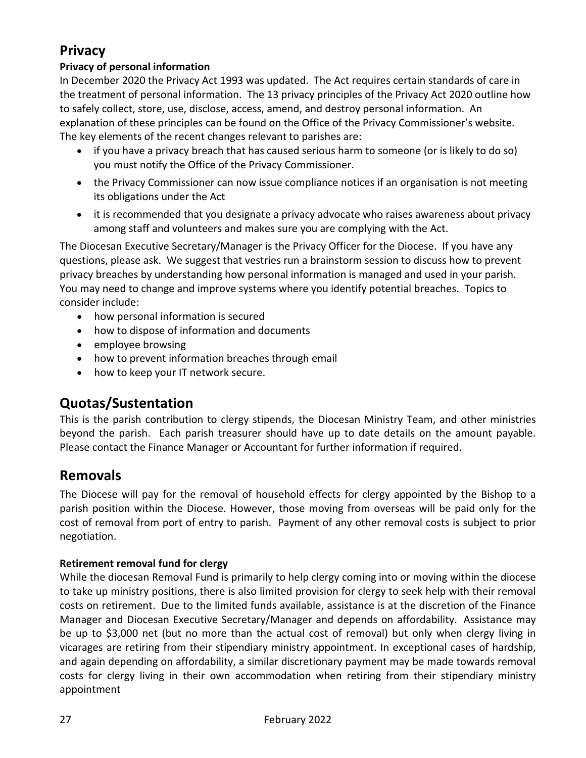# **Privacy**

### **Privacy of personal information**

In December 2020 the Privacy Act 1993 was updated. The Act requires certain standards of care in the treatment of personal information. The 13 privacy principles of the Privacy Act 2020 outline how to safely collect, store, use, disclose, access, amend, and destroy personal information. An explanation of these principles can be found on the Office of the Privacy Commissioner's website. The key elements of the recent changes relevant to parishes are:

- if you have a privacy breach that has caused serious harm to someone (or is likely to do so) you must notify the Office of the Privacy Commissioner.
- the Privacy Commissioner can now issue compliance notices if an organisation is not meeting its obligations under the Act
- it is recommended that you designate a privacy advocate who raises awareness about privacy among staff and volunteers and makes sure you are complying with the Act.

The Diocesan Executive Secretary/Manager is the Privacy Officer for the Diocese. If you have any questions, please ask. We suggest that vestries run a brainstorm session to discuss how to prevent privacy breaches by understanding how personal information is managed and used in your parish. You may need to change and improve systems where you identify potential breaches. Topics to consider include:

- how personal information is secured
- how to dispose of information and documents
- employee browsing
- how to prevent information breaches through email
- how to keep your IT network secure.

## **Quotas/Sustentation**

This is the parish contribution to clergy stipends, the Diocesan Ministry Team, and other ministries beyond the parish. Each parish treasurer should have up to date details on the amount payable. Please contact the Finance Manager or Accountant for further information if required.

## **Removals**

The Diocese will pay for the removal of household effects for clergy appointed by the Bishop to a parish position within the Diocese. However, those moving from overseas will be paid only for the cost of removal from port of entry to parish. Payment of any other removal costs is subject to prior negotiation.

### **Retirement removal fund for clergy**

While the diocesan Removal Fund is primarily to help clergy coming into or moving within the diocese to take up ministry positions, there is also limited provision for clergy to seek help with their removal costs on retirement. Due to the limited funds available, assistance is at the discretion of the Finance Manager and Diocesan Executive Secretary/Manager and depends on affordability. Assistance may be up to \$3,000 net (but no more than the actual cost of removal) but only when clergy living in vicarages are retiring from their stipendiary ministry appointment. In exceptional cases of hardship, and again depending on affordability, a similar discretionary payment may be made towards removal costs for clergy living in their own accommodation when retiring from their stipendiary ministry appointment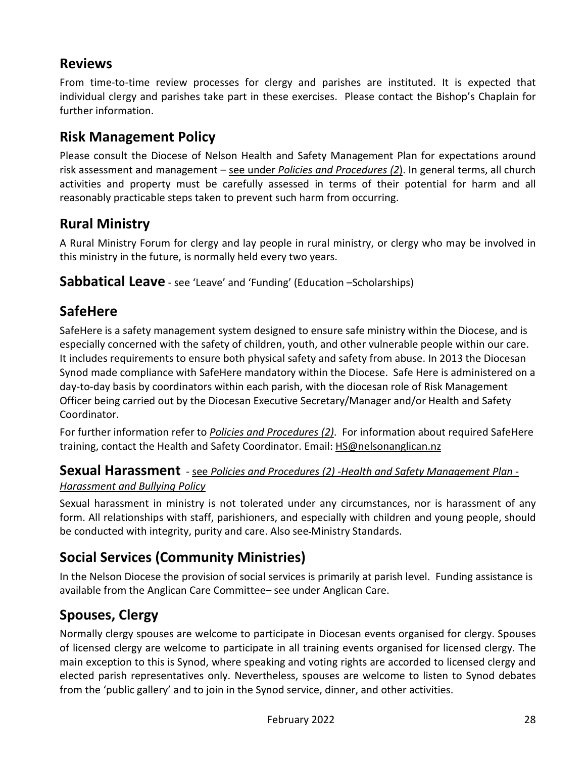# **Reviews**

From time-to-time review processes for clergy and parishes are instituted. It is expected that individual clergy and parishes take part in these exercises. Please contact the Bishop's Chaplain for further information.

# **Risk Management Policy**

Please consult the Diocese of Nelson Health and Safety Management Plan for expectations around risk assessment and management – see under *Policies and Procedures (2*). In general terms, all church activities and property must be carefully assessed in terms of their potential for harm and all reasonably practicable steps taken to prevent such harm from occurring.

# **Rural Ministry**

A Rural Ministry Forum for clergy and lay people in rural ministry, or clergy who may be involved in this ministry in the future, is normally held every two years.

**Sabbatical Leave** - see 'Leave' and 'Funding' (Education –Scholarships)

# **SafeHere**

SafeHere is a safety management system designed to ensure safe ministry within the Diocese, and is especially concerned with the safety of children, youth, and other vulnerable people within our care. It includes requirements to ensure both physical safety and safety from abuse. In 2013 the Diocesan Synod made compliance with SafeHere mandatory within the Diocese. Safe Here is administered on a day-to-day basis by coordinators within each parish, with the diocesan role of Risk Management Officer being carried out by the Diocesan Executive Secretary/Manager and/or Health and Safety Coordinator.

For further information refer to *Policies and Procedures (2)*. For information about required SafeHere training, contact the Health and Safety Coordinator. Email: **HS@nelsonanglican.nz** 

# **Sexual Harassment** - see *Policies and Procedures (2) -Health and Safety Management Plan -*

### *Harassment and Bullying Policy*

Sexual harassment in ministry is not tolerated under any circumstances, nor is harassment of any form. All relationships with staff, parishioners, and especially with children and young people, should be conducted with integrity, purity and care. Also see Ministry Standards.

# **Social Services (Community Ministries)**

In the Nelson Diocese the provision of social services is primarily at parish level. Funding assistance is available from the Anglican Care Committee– see under Anglican Care.

# **Spouses, Clergy**

Normally clergy spouses are welcome to participate in Diocesan events organised for clergy. Spouses of licensed clergy are welcome to participate in all training events organised for licensed clergy. The main exception to this is Synod, where speaking and voting rights are accorded to licensed clergy and elected parish representatives only. Nevertheless, spouses are welcome to listen to Synod debates from the 'public gallery' and to join in the Synod service, dinner, and other activities.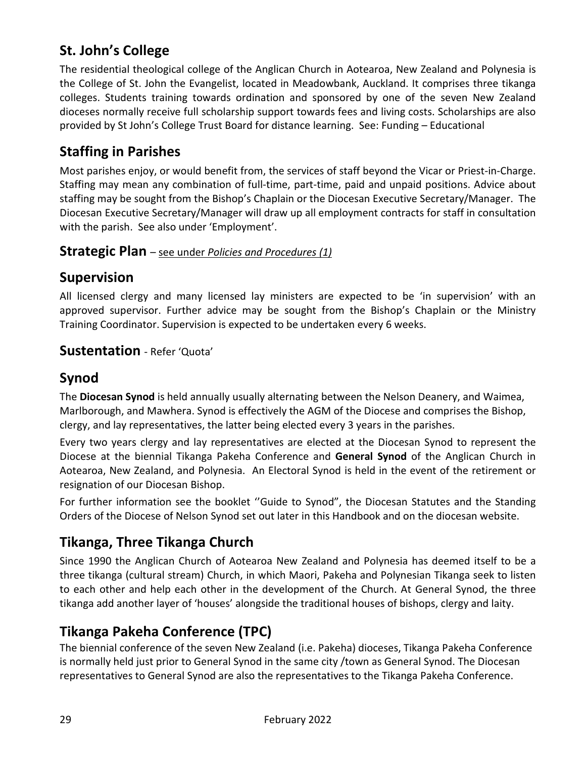# **St. John's College**

The residential theological college of the Anglican Church in Aotearoa, New Zealand and Polynesia is the College of St. John the Evangelist, located in Meadowbank, Auckland. It comprises three tikanga colleges. Students training towards ordination and sponsored by one of the seven New Zealand dioceses normally receive full scholarship support towards fees and living costs. Scholarships are also provided by St John's College Trust Board for distance learning. See: Funding – Educational

# **Staffing in Parishes**

Most parishes enjoy, or would benefit from, the services of staff beyond the Vicar or Priest-in-Charge. Staffing may mean any combination of full-time, part-time, paid and unpaid positions. Advice about staffing may be sought from the Bishop's Chaplain or the Diocesan Executive Secretary/Manager. The Diocesan Executive Secretary/Manager will draw up all employment contracts for staff in consultation with the parish. See also under 'Employment'.

### **Strategic Plan** – see under *Policies and Procedures (1)*

## **Supervision**

All licensed clergy and many licensed lay ministers are expected to be 'in supervision' with an approved supervisor. Further advice may be sought from the Bishop's Chaplain or the Ministry Training Coordinator. Supervision is expected to be undertaken every 6 weeks.

### **Sustentation** - Refer 'Quota'

## **Synod**

The **Diocesan Synod** is held annually usually alternating between the Nelson Deanery, and Waimea, Marlborough, and Mawhera. Synod is effectively the AGM of the Diocese and comprises the Bishop, clergy, and lay representatives, the latter being elected every 3 years in the parishes.

Every two years clergy and lay representatives are elected at the Diocesan Synod to represent the Diocese at the biennial Tikanga Pakeha Conference and **General Synod** of the Anglican Church in Aotearoa, New Zealand, and Polynesia. An Electoral Synod is held in the event of the retirement or resignation of our Diocesan Bishop.

For further information see the booklet ''Guide to Synod", the Diocesan Statutes and the Standing Orders of the Diocese of Nelson Synod set out later in this Handbook and on the diocesan website.

# **Tikanga, Three Tikanga Church**

Since 1990 the Anglican Church of Aotearoa New Zealand and Polynesia has deemed itself to be a three tikanga (cultural stream) Church, in which Maori, Pakeha and Polynesian Tikanga seek to listen to each other and help each other in the development of the Church. At General Synod, the three tikanga add another layer of 'houses' alongside the traditional houses of bishops, clergy and laity.

# **Tikanga Pakeha Conference (TPC)**

The biennial conference of the seven New Zealand (i.e. Pakeha) dioceses, Tikanga Pakeha Conference is normally held just prior to General Synod in the same city /town as General Synod. The Diocesan representatives to General Synod are also the representatives to the Tikanga Pakeha Conference.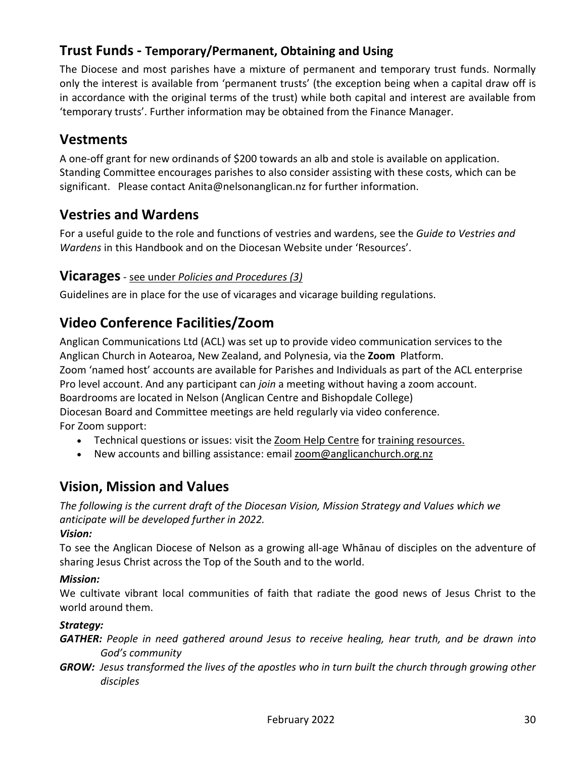# **Trust Funds - Temporary/Permanent, Obtaining and Using**

The Diocese and most parishes have a mixture of permanent and temporary trust funds. Normally only the interest is available from 'permanent trusts' (the exception being when a capital draw off is in accordance with the original terms of the trust) while both capital and interest are available from 'temporary trusts'. Further information may be obtained from the Finance Manager.

## **Vestments**

A one-off grant for new ordinands of \$200 towards an alb and stole is available on application. Standing Committee encourages parishes to also consider assisting with these costs, which can be significant. Please contact Anita@nelsonanglican.nz for further information.

# **Vestries and Wardens**

For a useful guide to the role and functions of vestries and wardens, see the *Guide to Vestries and Wardens* in this Handbook and on the Diocesan Website under 'Resources'.

### **Vicarages**- see under *Policies and Procedures (3)*

Guidelines are in place for the use of vicarages and vicarage building regulations.

# **Video Conference Facilities/Zoom**

Anglican Communications Ltd (ACL) was set up to provide video communication services to the Anglican Church in Aotearoa, New Zealand, and Polynesia, via the **Zoom** Platform. Zoom 'named host' accounts are available for Parishes and Individuals as part of the ACL enterprise Pro level account. And any participant can *join* a meeting without having a zoom account. Boardrooms are located in Nelson (Anglican Centre and Bishopdale College) Diocesan Board and Committee meetings are held regularly via video conference. For Zoom support:

- Technical questions or issues: visit the [Zoom Help Centre](https://apc01.safelinks.protection.outlook.com/?url=https%3A%2F%2Fanglicanchurch.us19.list-manage.com%2Ftrack%2Fclick%3Fu%3D7f32367446a86ce41ac3d044b%26id%3Dd4dac6076b%26e%3Dee558ce766&data=04%7C01%7CDioSec.PA%40nelsonanglican.nz%7Cce45e9aa895e4ef2f3ba08d8a231c05c%7Cb1866703b3264c13aedea559f2747eb4%7C0%7C0%7C637437681879266938%7CUnknown%7CTWFpbGZsb3d8eyJWIjoiMC4wLjAwMDAiLCJQIjoiV2luMzIiLCJBTiI6Ik1haWwiLCJXVCI6Mn0%3D%7C1000&sdata=dgc%2B7O6Un6ko2ZIyTmOb%2FUmBexfKljLTYiiVfWxcMzQ%3D&reserved=0) for [training resources.](https://apc01.safelinks.protection.outlook.com/?url=https%3A%2F%2Fanglicanchurch.us19.list-manage.com%2Ftrack%2Fclick%3Fu%3D7f32367446a86ce41ac3d044b%26id%3D21b6ba48f9%26e%3Dee558ce766&data=04%7C01%7CDioSec.PA%40nelsonanglican.nz%7Cce45e9aa895e4ef2f3ba08d8a231c05c%7Cb1866703b3264c13aedea559f2747eb4%7C0%7C0%7C637437681879276936%7CUnknown%7CTWFpbGZsb3d8eyJWIjoiMC4wLjAwMDAiLCJQIjoiV2luMzIiLCJBTiI6Ik1haWwiLCJXVCI6Mn0%3D%7C1000&sdata=DOgyHFz2yzOuBvkxfm7OMGOqNRbq80nrb9TNVSgn8rU%3D&reserved=0)
- New accounts and billing assistance: email [zoom@anglicanchurch.org.nz](mailto:zoom@anglicanchurch.org.nz)

## **Vision, Mission and Values**

*The following is the current draft of the Diocesan Vision, Mission Strategy and Values which we anticipate will be developed further in 2022.*

#### *Vision:*

To see the Anglican Diocese of Nelson as a growing all-age Whānau of disciples on the adventure of sharing Jesus Christ across the Top of the South and to the world.

#### *Mission:*

We cultivate vibrant local communities of faith that radiate the good news of Jesus Christ to the world around them.

#### *Strategy:*

*GATHER: People in need gathered around Jesus to receive healing, hear truth, and be drawn into God's community*

*GROW: Jesus transformed the lives of the apostles who in turn built the church through growing other disciples*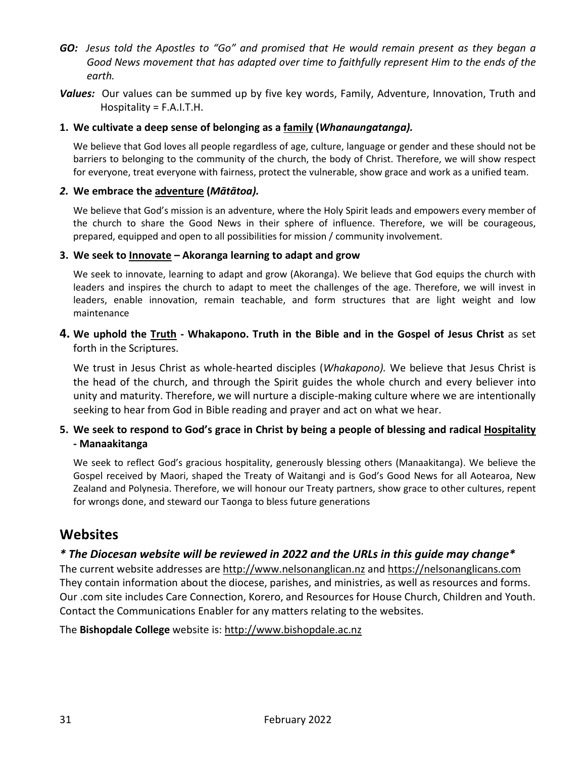- *GO: Jesus told the Apostles to "Go" and promised that He would remain present as they began a Good News movement that has adapted over time to faithfully represent Him to the ends of the earth.*
- *Values:* Our values can be summed up by five key words, Family, Adventure, Innovation, Truth and Hospitality = F.A.I.T.H.

#### **1. We cultivate a deep sense of belonging as a family (***Whanaungatanga).*

We believe that God loves all people regardless of age, culture, language or gender and these should not be barriers to belonging to the community of the church, the body of Christ. Therefore, we will show respect for everyone, treat everyone with fairness, protect the vulnerable, show grace and work as a unified team.

#### *2.* **We embrace the adventure (***Mātātoa).*

We believe that God's mission is an adventure, where the Holy Spirit leads and empowers every member of the church to share the Good News in their sphere of influence. Therefore, we will be courageous, prepared, equipped and open to all possibilities for mission / community involvement.

#### **3. We seek to Innovate – Akoranga learning to adapt and grow**

We seek to innovate, learning to adapt and grow (Akoranga). We believe that God equips the church with leaders and inspires the church to adapt to meet the challenges of the age. Therefore, we will invest in leaders, enable innovation, remain teachable, and form structures that are light weight and low maintenance

#### **4. We uphold the Truth - Whakapono. Truth in the Bible and in the Gospel of Jesus Christ** as set forth in the Scriptures.

We trust in Jesus Christ as whole-hearted disciples (*Whakapono).* We believe that Jesus Christ is the head of the church, and through the Spirit guides the whole church and every believer into unity and maturity. Therefore, we will nurture a disciple-making culture where we are intentionally seeking to hear from God in Bible reading and prayer and act on what we hear.

#### **5. We seek to respond to God's grace in Christ by being a people of blessing and radical Hospitality - Manaakitanga**

We seek to reflect God's gracious hospitality, generously blessing others (Manaakitanga). We believe the Gospel received by Maori, shaped the Treaty of Waitangi and is God's Good News for all Aotearoa, New Zealand and Polynesia. Therefore, we will honour our Treaty partners, show grace to other cultures, repent for wrongs done, and steward our Taonga to bless future generations

### **Websites**

#### *\* The Diocesan website will be reviewed in 2022 and the URLs in this guide may change\**

The current website addresses are [http://www.nelsonanglican.nz](http://www.nelsonanglican.nz/) and https://nelsonanglicans.com They contain information about the diocese, parishes, and ministries, as well as resources and forms. Our .com site includes Care Connection, Korero, and Resources for House Church, Children and Youth. Contact the Communications Enabler for any matters relating to the websites.

The **Bishopdale College** website is: [http://www.bishopdale.ac.nz](http://www.bishopdale.ac.nz/)